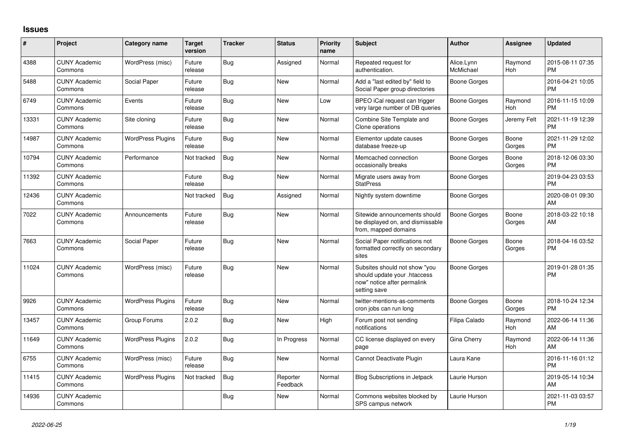## **Issues**

| #     | Project                         | <b>Category name</b>     | <b>Target</b><br>version | <b>Tracker</b> | <b>Status</b>        | <b>Priority</b><br>name | <b>Subject</b>                                                                                               | <b>Author</b>           | <b>Assignee</b>       | <b>Updated</b>                |
|-------|---------------------------------|--------------------------|--------------------------|----------------|----------------------|-------------------------|--------------------------------------------------------------------------------------------------------------|-------------------------|-----------------------|-------------------------------|
| 4388  | <b>CUNY Academic</b><br>Commons | WordPress (misc)         | Future<br>release        | Bug            | Assigned             | Normal                  | Repeated request for<br>authentication.                                                                      | Alice.Lynn<br>McMichael | Raymond<br>Hoh        | 2015-08-11 07:35<br><b>PM</b> |
| 5488  | <b>CUNY Academic</b><br>Commons | Social Paper             | Future<br>release        | Bug            | <b>New</b>           | Normal                  | Add a "last edited by" field to<br>Social Paper group directories                                            | Boone Gorges            |                       | 2016-04-21 10:05<br><b>PM</b> |
| 6749  | <b>CUNY Academic</b><br>Commons | Events                   | Future<br>release        | Bug            | <b>New</b>           | Low                     | BPEO iCal request can trigger<br>very large number of DB queries                                             | <b>Boone Gorges</b>     | Raymond<br><b>Hoh</b> | 2016-11-15 10:09<br><b>PM</b> |
| 13331 | <b>CUNY Academic</b><br>Commons | Site cloning             | Future<br>release        | <b>Bug</b>     | <b>New</b>           | Normal                  | Combine Site Template and<br>Clone operations                                                                | Boone Gorges            | Jeremy Felt           | 2021-11-19 12:39<br><b>PM</b> |
| 14987 | <b>CUNY Academic</b><br>Commons | <b>WordPress Plugins</b> | Future<br>release        | Bug            | <b>New</b>           | Normal                  | Elementor update causes<br>database freeze-up                                                                | Boone Gorges            | Boone<br>Gorges       | 2021-11-29 12:02<br><b>PM</b> |
| 10794 | <b>CUNY Academic</b><br>Commons | Performance              | Not tracked              | Bug            | <b>New</b>           | Normal                  | Memcached connection<br>occasionally breaks                                                                  | Boone Gorges            | Boone<br>Gorges       | 2018-12-06 03:30<br><b>PM</b> |
| 11392 | <b>CUNY Academic</b><br>Commons |                          | Future<br>release        | Bug            | <b>New</b>           | Normal                  | Migrate users away from<br><b>StatPress</b>                                                                  | Boone Gorges            |                       | 2019-04-23 03:53<br><b>PM</b> |
| 12436 | <b>CUNY Academic</b><br>Commons |                          | Not tracked              | Bug            | Assigned             | Normal                  | Nightly system downtime                                                                                      | Boone Gorges            |                       | 2020-08-01 09:30<br>AM        |
| 7022  | <b>CUNY Academic</b><br>Commons | Announcements            | Future<br>release        | <b>Bug</b>     | <b>New</b>           | Normal                  | Sitewide announcements should<br>be displayed on, and dismissable<br>from, mapped domains                    | <b>Boone Gorges</b>     | Boone<br>Gorges       | 2018-03-22 10:18<br>AM        |
| 7663  | <b>CUNY Academic</b><br>Commons | Social Paper             | Future<br>release        | Bug            | <b>New</b>           | Normal                  | Social Paper notifications not<br>formatted correctly on secondary<br>sites                                  | Boone Gorges            | Boone<br>Gorges       | 2018-04-16 03:52<br><b>PM</b> |
| 11024 | <b>CUNY Academic</b><br>Commons | WordPress (misc)         | Future<br>release        | Bug            | <b>New</b>           | Normal                  | Subsites should not show "you<br>should update your .htaccess<br>now" notice after permalink<br>setting save | Boone Gorges            |                       | 2019-01-28 01:35<br><b>PM</b> |
| 9926  | <b>CUNY Academic</b><br>Commons | <b>WordPress Plugins</b> | Future<br>release        | Bug            | <b>New</b>           | Normal                  | twitter-mentions-as-comments<br>cron jobs can run long                                                       | Boone Gorges            | Boone<br>Gorges       | 2018-10-24 12:34<br><b>PM</b> |
| 13457 | <b>CUNY Academic</b><br>Commons | Group Forums             | 2.0.2                    | <b>Bug</b>     | <b>New</b>           | High                    | Forum post not sending<br>notifications                                                                      | Filipa Calado           | Raymond<br><b>Hoh</b> | 2022-06-14 11:36<br>AM        |
| 11649 | <b>CUNY Academic</b><br>Commons | <b>WordPress Plugins</b> | 2.0.2                    | <b>Bug</b>     | In Progress          | Normal                  | CC license displayed on every<br>page                                                                        | Gina Cherry             | Raymond<br><b>Hoh</b> | 2022-06-14 11:36<br>AM        |
| 6755  | <b>CUNY Academic</b><br>Commons | WordPress (misc)         | Future<br>release        | Bug            | <b>New</b>           | Normal                  | Cannot Deactivate Plugin                                                                                     | Laura Kane              |                       | 2016-11-16 01:12<br><b>PM</b> |
| 11415 | <b>CUNY Academic</b><br>Commons | <b>WordPress Plugins</b> | Not tracked              | <b>Bug</b>     | Reporter<br>Feedback | Normal                  | <b>Blog Subscriptions in Jetpack</b>                                                                         | Laurie Hurson           |                       | 2019-05-14 10:34<br>AM        |
| 14936 | <b>CUNY Academic</b><br>Commons |                          |                          | <b>Bug</b>     | <b>New</b>           | Normal                  | Commons websites blocked by<br>SPS campus network                                                            | Laurie Hurson           |                       | 2021-11-03 03:57<br><b>PM</b> |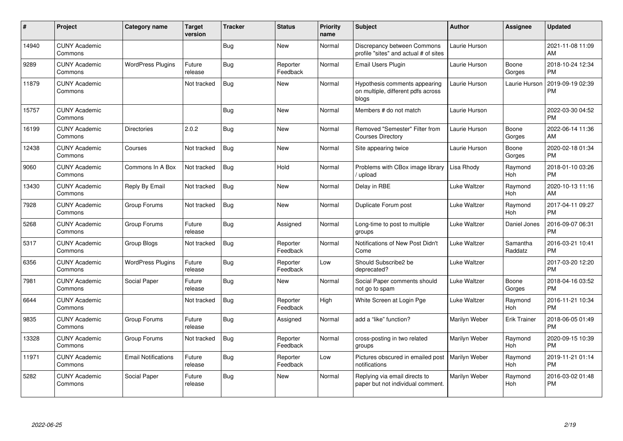| #     | Project                         | <b>Category name</b>       | <b>Target</b><br>version | <b>Tracker</b> | <b>Status</b>        | <b>Priority</b><br>name | <b>Subject</b>                                                               | <b>Author</b>       | <b>Assignee</b>       | <b>Updated</b>                |
|-------|---------------------------------|----------------------------|--------------------------|----------------|----------------------|-------------------------|------------------------------------------------------------------------------|---------------------|-----------------------|-------------------------------|
| 14940 | <b>CUNY Academic</b><br>Commons |                            |                          | Bug            | <b>New</b>           | Normal                  | Discrepancy between Commons<br>profile "sites" and actual # of sites         | Laurie Hurson       |                       | 2021-11-08 11:09<br>AM        |
| 9289  | <b>CUNY Academic</b><br>Commons | <b>WordPress Plugins</b>   | Future<br>release        | Bug            | Reporter<br>Feedback | Normal                  | Email Users Plugin                                                           | Laurie Hurson       | Boone<br>Gorges       | 2018-10-24 12:34<br><b>PM</b> |
| 11879 | <b>CUNY Academic</b><br>Commons |                            | Not tracked              | Bug            | <b>New</b>           | Normal                  | Hypothesis comments appearing<br>on multiple, different pdfs across<br>blogs | Laurie Hurson       | Laurie Hurson         | 2019-09-19 02:39<br>PM        |
| 15757 | <b>CUNY Academic</b><br>Commons |                            |                          | Bug            | <b>New</b>           | Normal                  | Members # do not match                                                       | Laurie Hurson       |                       | 2022-03-30 04:52<br><b>PM</b> |
| 16199 | <b>CUNY Academic</b><br>Commons | <b>Directories</b>         | 2.0.2                    | Bug            | <b>New</b>           | Normal                  | Removed "Semester" Filter from<br><b>Courses Directory</b>                   | Laurie Hurson       | Boone<br>Gorges       | 2022-06-14 11:36<br>AM        |
| 12438 | <b>CUNY Academic</b><br>Commons | Courses                    | Not tracked              | Bug            | <b>New</b>           | Normal                  | Site appearing twice                                                         | Laurie Hurson       | Boone<br>Gorges       | 2020-02-18 01:34<br><b>PM</b> |
| 9060  | <b>CUNY Academic</b><br>Commons | Commons In A Box           | Not tracked              | Bug            | Hold                 | Normal                  | Problems with CBox image library<br>upload                                   | Lisa Rhody          | Raymond<br>Hoh        | 2018-01-10 03:26<br><b>PM</b> |
| 13430 | <b>CUNY Academic</b><br>Commons | Reply By Email             | Not tracked              | <b>Bug</b>     | <b>New</b>           | Normal                  | Delay in RBE                                                                 | <b>Luke Waltzer</b> | Raymond<br><b>Hoh</b> | 2020-10-13 11:16<br>AM        |
| 7928  | <b>CUNY Academic</b><br>Commons | Group Forums               | Not tracked              | Bug            | New                  | Normal                  | Duplicate Forum post                                                         | Luke Waltzer        | Raymond<br>Hoh        | 2017-04-11 09:27<br><b>PM</b> |
| 5268  | <b>CUNY Academic</b><br>Commons | Group Forums               | Future<br>release        | Bug            | Assigned             | Normal                  | Long-time to post to multiple<br>groups                                      | <b>Luke Waltzer</b> | Daniel Jones          | 2016-09-07 06:31<br><b>PM</b> |
| 5317  | <b>CUNY Academic</b><br>Commons | Group Blogs                | Not tracked              | Bug            | Reporter<br>Feedback | Normal                  | Notifications of New Post Didn't<br>Come                                     | <b>Luke Waltzer</b> | Samantha<br>Raddatz   | 2016-03-21 10:41<br><b>PM</b> |
| 6356  | <b>CUNY Academic</b><br>Commons | <b>WordPress Plugins</b>   | Future<br>release        | Bug            | Reporter<br>Feedback | Low                     | Should Subscribe2 be<br>deprecated?                                          | <b>Luke Waltzer</b> |                       | 2017-03-20 12:20<br><b>PM</b> |
| 7981  | <b>CUNY Academic</b><br>Commons | Social Paper               | Future<br>release        | <b>Bug</b>     | <b>New</b>           | Normal                  | Social Paper comments should<br>not go to spam                               | <b>Luke Waltzer</b> | Boone<br>Gorges       | 2018-04-16 03:52<br><b>PM</b> |
| 6644  | <b>CUNY Academic</b><br>Commons |                            | Not tracked              | <b>Bug</b>     | Reporter<br>Feedback | High                    | White Screen at Login Pge                                                    | Luke Waltzer        | Raymond<br>Hoh        | 2016-11-21 10:34<br><b>PM</b> |
| 9835  | <b>CUNY Academic</b><br>Commons | Group Forums               | Future<br>release        | <b>Bug</b>     | Assigned             | Normal                  | add a "like" function?                                                       | Marilyn Weber       | <b>Erik Trainer</b>   | 2018-06-05 01:49<br><b>PM</b> |
| 13328 | <b>CUNY Academic</b><br>Commons | Group Forums               | Not tracked              | <b>Bug</b>     | Reporter<br>Feedback | Normal                  | cross-posting in two related<br>groups                                       | Marilyn Weber       | Raymond<br>Hoh        | 2020-09-15 10:39<br><b>PM</b> |
| 11971 | <b>CUNY Academic</b><br>Commons | <b>Email Notifications</b> | Future<br>release        | <b>Bug</b>     | Reporter<br>Feedback | Low                     | Pictures obscured in emailed post<br>notifications                           | Marilyn Weber       | Raymond<br><b>Hoh</b> | 2019-11-21 01:14<br><b>PM</b> |
| 5282  | <b>CUNY Academic</b><br>Commons | Social Paper               | Future<br>release        | Bug            | <b>New</b>           | Normal                  | Replying via email directs to<br>paper but not individual comment.           | Marilyn Weber       | Raymond<br><b>Hoh</b> | 2016-03-02 01:48<br><b>PM</b> |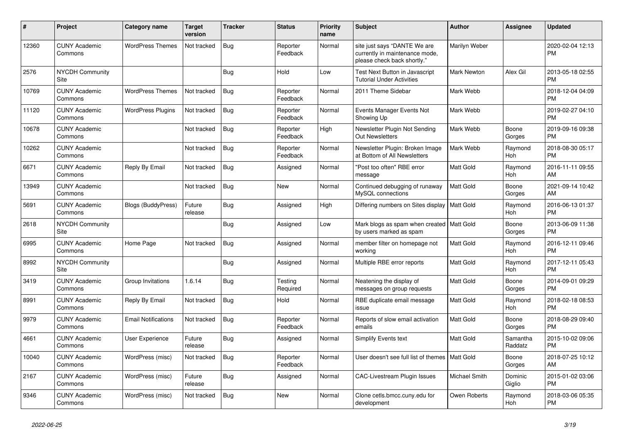| #     | Project                         | <b>Category name</b>       | Target<br>version | <b>Tracker</b> | <b>Status</b>        | <b>Priority</b><br>name | <b>Subject</b>                                                                                | <b>Author</b>      | <b>Assignee</b>     | <b>Updated</b>                |
|-------|---------------------------------|----------------------------|-------------------|----------------|----------------------|-------------------------|-----------------------------------------------------------------------------------------------|--------------------|---------------------|-------------------------------|
| 12360 | <b>CUNY Academic</b><br>Commons | <b>WordPress Themes</b>    | Not tracked       | <b>Bug</b>     | Reporter<br>Feedback | Normal                  | site just says "DANTE We are<br>currently in maintenance mode,<br>please check back shortly." | Marilyn Weber      |                     | 2020-02-04 12:13<br><b>PM</b> |
| 2576  | <b>NYCDH Community</b><br>Site  |                            |                   | Bug            | Hold                 | Low                     | Test Next Button in Javascript<br><b>Tutorial Under Activities</b>                            | <b>Mark Newton</b> | Alex Gil            | 2013-05-18 02:55<br><b>PM</b> |
| 10769 | <b>CUNY Academic</b><br>Commons | <b>WordPress Themes</b>    | Not tracked       | <b>Bug</b>     | Reporter<br>Feedback | Normal                  | 2011 Theme Sidebar                                                                            | Mark Webb          |                     | 2018-12-04 04:09<br><b>PM</b> |
| 11120 | <b>CUNY Academic</b><br>Commons | <b>WordPress Plugins</b>   | Not tracked       | Bug            | Reporter<br>Feedback | Normal                  | Events Manager Events Not<br>Showing Up                                                       | Mark Webb          |                     | 2019-02-27 04:10<br><b>PM</b> |
| 10678 | <b>CUNY Academic</b><br>Commons |                            | Not tracked       | <b>Bug</b>     | Reporter<br>Feedback | High                    | Newsletter Plugin Not Sending<br><b>Out Newsletters</b>                                       | Mark Webb          | Boone<br>Gorges     | 2019-09-16 09:38<br><b>PM</b> |
| 10262 | <b>CUNY Academic</b><br>Commons |                            | Not tracked       | Bug            | Reporter<br>Feedback | Normal                  | Newsletter Plugin: Broken Image<br>at Bottom of All Newsletters                               | Mark Webb          | Raymond<br>Hoh      | 2018-08-30 05:17<br><b>PM</b> |
| 6671  | <b>CUNY Academic</b><br>Commons | Reply By Email             | Not tracked       | Bug            | Assigned             | Normal                  | "Post too often" RBE error<br>message                                                         | Matt Gold          | Raymond<br>Hoh      | 2016-11-11 09:55<br>AM        |
| 13949 | <b>CUNY Academic</b><br>Commons |                            | Not tracked       | <b>Bug</b>     | <b>New</b>           | Normal                  | Continued debugging of runaway<br>MySQL connections                                           | Matt Gold          | Boone<br>Gorges     | 2021-09-14 10:42<br>AM        |
| 5691  | <b>CUNY Academic</b><br>Commons | <b>Blogs (BuddyPress)</b>  | Future<br>release | Bug            | Assigned             | High                    | Differing numbers on Sites display                                                            | <b>Matt Gold</b>   | Raymond<br>Hoh      | 2016-06-13 01:37<br><b>PM</b> |
| 2618  | <b>NYCDH Community</b><br>Site  |                            |                   | <b>Bug</b>     | Assigned             | Low                     | Mark blogs as spam when created   Matt Gold<br>by users marked as spam                        |                    | Boone<br>Gorges     | 2013-06-09 11:38<br><b>PM</b> |
| 6995  | <b>CUNY Academic</b><br>Commons | Home Page                  | Not tracked       | <b>Bug</b>     | Assigned             | Normal                  | member filter on homepage not<br>working                                                      | Matt Gold          | Raymond<br>Hoh      | 2016-12-11 09:46<br><b>PM</b> |
| 8992  | <b>NYCDH Community</b><br>Site  |                            |                   | Bug            | Assigned             | Normal                  | Multiple RBE error reports                                                                    | Matt Gold          | Raymond<br>Hoh      | 2017-12-11 05:43<br><b>PM</b> |
| 3419  | <b>CUNY Academic</b><br>Commons | Group Invitations          | 1.6.14            | <b>Bug</b>     | Testing<br>Required  | Normal                  | Neatening the display of<br>messages on group requests                                        | Matt Gold          | Boone<br>Gorges     | 2014-09-01 09:29<br><b>PM</b> |
| 8991  | <b>CUNY Academic</b><br>Commons | Reply By Email             | Not tracked       | Bug            | Hold                 | Normal                  | RBE duplicate email message<br>issue                                                          | <b>Matt Gold</b>   | Raymond<br>Hoh      | 2018-02-18 08:53<br><b>PM</b> |
| 9979  | <b>CUNY Academic</b><br>Commons | <b>Email Notifications</b> | Not tracked       | <b>Bug</b>     | Reporter<br>Feedback | Normal                  | Reports of slow email activation<br>emails                                                    | <b>Matt Gold</b>   | Boone<br>Gorges     | 2018-08-29 09:40<br><b>PM</b> |
| 4661  | <b>CUNY Academic</b><br>Commons | <b>User Experience</b>     | Future<br>release | <b>Bug</b>     | Assigned             | Normal                  | Simplify Events text                                                                          | <b>Matt Gold</b>   | Samantha<br>Raddatz | 2015-10-02 09:06<br><b>PM</b> |
| 10040 | <b>CUNY Academic</b><br>Commons | WordPress (misc)           | Not tracked       | Bug            | Reporter<br>Feedback | Normal                  | User doesn't see full list of themes   Matt Gold                                              |                    | Boone<br>Gorges     | 2018-07-25 10:12<br>AM        |
| 2167  | <b>CUNY Academic</b><br>Commons | WordPress (misc)           | Future<br>release | Bug            | Assigned             | Normal                  | <b>CAC-Livestream Plugin Issues</b>                                                           | Michael Smith      | Dominic<br>Giglio   | 2015-01-02 03:06<br><b>PM</b> |
| 9346  | <b>CUNY Academic</b><br>Commons | WordPress (misc)           | Not tracked       | Bug            | <b>New</b>           | Normal                  | Clone cetls.bmcc.cuny.edu for<br>development                                                  | Owen Roberts       | Raymond<br>Hoh      | 2018-03-06 05:35<br><b>PM</b> |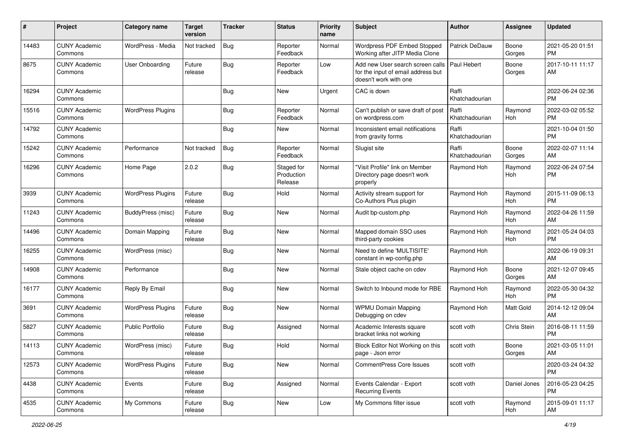| #     | Project                         | <b>Category name</b>     | Target<br>version | <b>Tracker</b> | <b>Status</b>                       | <b>Priority</b><br>name | <b>Subject</b>                                                                                  | <b>Author</b>           | Assignee        | <b>Updated</b>                |
|-------|---------------------------------|--------------------------|-------------------|----------------|-------------------------------------|-------------------------|-------------------------------------------------------------------------------------------------|-------------------------|-----------------|-------------------------------|
| 14483 | <b>CUNY Academic</b><br>Commons | WordPress - Media        | Not tracked       | <b>Bug</b>     | Reporter<br>Feedback                | Normal                  | Wordpress PDF Embed Stopped<br>Working after JITP Media Clone                                   | <b>Patrick DeDauw</b>   | Boone<br>Gorges | 2021-05-20 01:51<br><b>PM</b> |
| 8675  | <b>CUNY Academic</b><br>Commons | <b>User Onboarding</b>   | Future<br>release | <b>Bug</b>     | Reporter<br>Feedback                | Low                     | Add new User search screen calls<br>for the input of email address but<br>doesn't work with one | Paul Hebert             | Boone<br>Gorges | 2017-10-11 11:17<br>AM        |
| 16294 | <b>CUNY Academic</b><br>Commons |                          |                   | <b>Bug</b>     | New                                 | Urgent                  | CAC is down                                                                                     | Raffi<br>Khatchadourian |                 | 2022-06-24 02:36<br><b>PM</b> |
| 15516 | <b>CUNY Academic</b><br>Commons | <b>WordPress Plugins</b> |                   | Bug            | Reporter<br>Feedback                | Normal                  | Can't publish or save draft of post<br>on wordpress.com                                         | Raffi<br>Khatchadourian | Raymond<br>Hoh  | 2022-03-02 05:52<br><b>PM</b> |
| 14792 | <b>CUNY Academic</b><br>Commons |                          |                   | Bug            | New                                 | Normal                  | Inconsistent email notifications<br>from gravity forms                                          | Raffi<br>Khatchadourian |                 | 2021-10-04 01:50<br><b>PM</b> |
| 15242 | <b>CUNY Academic</b><br>Commons | Performance              | Not tracked       | Bug            | Reporter<br>Feedback                | Normal                  | Slugist site                                                                                    | Raffi<br>Khatchadourian | Boone<br>Gorges | 2022-02-07 11:14<br>AM        |
| 16296 | <b>CUNY Academic</b><br>Commons | Home Page                | 2.0.2             | <b>Bug</b>     | Staged for<br>Production<br>Release | Normal                  | "Visit Profile" link on Member<br>Directory page doesn't work<br>properly                       | Raymond Hoh             | Raymond<br>Hoh  | 2022-06-24 07:54<br><b>PM</b> |
| 3939  | <b>CUNY Academic</b><br>Commons | <b>WordPress Plugins</b> | Future<br>release | <b>Bug</b>     | Hold                                | Normal                  | Activity stream support for<br>Co-Authors Plus plugin                                           | Raymond Hoh             | Raymond<br>Hoh  | 2015-11-09 06:13<br><b>PM</b> |
| 11243 | <b>CUNY Academic</b><br>Commons | <b>BuddyPress</b> (misc) | Future<br>release | Bug            | <b>New</b>                          | Normal                  | Audit bp-custom.php                                                                             | Raymond Hoh             | Raymond<br>Hoh  | 2022-04-26 11:59<br>AM        |
| 14496 | <b>CUNY Academic</b><br>Commons | Domain Mapping           | Future<br>release | <b>Bug</b>     | <b>New</b>                          | Normal                  | Mapped domain SSO uses<br>third-party cookies                                                   | Raymond Hoh             | Raymond<br>Hoh  | 2021-05-24 04:03<br><b>PM</b> |
| 16255 | <b>CUNY Academic</b><br>Commons | WordPress (misc)         |                   | <b>Bug</b>     | New                                 | Normal                  | Need to define 'MULTISITE'<br>constant in wp-config.php                                         | Raymond Hoh             |                 | 2022-06-19 09:31<br>AM        |
| 14908 | <b>CUNY Academic</b><br>Commons | Performance              |                   | <b>Bug</b>     | New                                 | Normal                  | Stale object cache on cdev                                                                      | Raymond Hoh             | Boone<br>Gorges | 2021-12-07 09:45<br>AM        |
| 16177 | <b>CUNY Academic</b><br>Commons | Reply By Email           |                   | Bug            | <b>New</b>                          | Normal                  | Switch to Inbound mode for RBE                                                                  | Raymond Hoh             | Raymond<br>Hoh  | 2022-05-30 04:32<br><b>PM</b> |
| 3691  | <b>CUNY Academic</b><br>Commons | <b>WordPress Plugins</b> | Future<br>release | <b>Bug</b>     | <b>New</b>                          | Normal                  | <b>WPMU Domain Mapping</b><br>Debugging on cdev                                                 | Raymond Hoh             | Matt Gold       | 2014-12-12 09:04<br>AM        |
| 5827  | <b>CUNY Academic</b><br>Commons | <b>Public Portfolio</b>  | Future<br>release | <b>Bug</b>     | Assigned                            | Normal                  | Academic Interests square<br>bracket links not working                                          | scott voth              | Chris Stein     | 2016-08-11 11:59<br><b>PM</b> |
| 14113 | <b>CUNY Academic</b><br>Commons | WordPress (misc)         | Future<br>release | <b>Bug</b>     | Hold                                | Normal                  | Block Editor Not Working on this<br>page - Json error                                           | scott voth              | Boone<br>Gorges | 2021-03-05 11:01<br>AM        |
| 12573 | <b>CUNY Academic</b><br>Commons | <b>WordPress Plugins</b> | Future<br>release | Bug            | New                                 | Normal                  | <b>CommentPress Core Issues</b>                                                                 | scott voth              |                 | 2020-03-24 04:32<br>PM        |
| 4438  | <b>CUNY Academic</b><br>Commons | Events                   | Future<br>release | <b>Bug</b>     | Assigned                            | Normal                  | Events Calendar - Export<br><b>Recurring Events</b>                                             | scott voth              | Daniel Jones    | 2016-05-23 04:25<br>PM        |
| 4535  | <b>CUNY Academic</b><br>Commons | My Commons               | Future<br>release | <b>Bug</b>     | New                                 | Low                     | My Commons filter issue                                                                         | scott voth              | Raymond<br>Hoh  | 2015-09-01 11:17<br>AM        |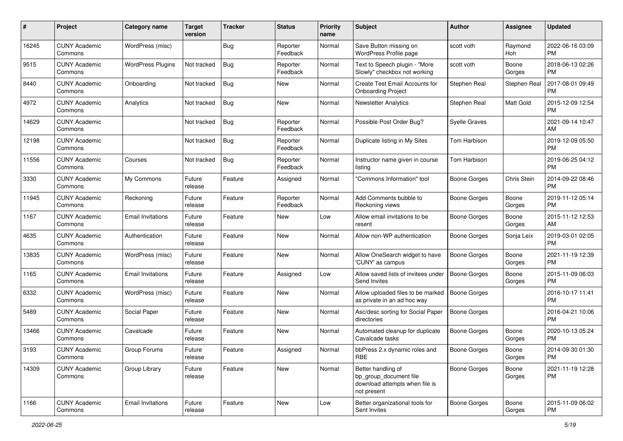| #     | Project                         | <b>Category name</b>     | <b>Target</b><br>version | <b>Tracker</b> | <b>Status</b>        | <b>Priority</b><br>name | Subject                                                                                       | Author               | <b>Assignee</b>  | <b>Updated</b>                |
|-------|---------------------------------|--------------------------|--------------------------|----------------|----------------------|-------------------------|-----------------------------------------------------------------------------------------------|----------------------|------------------|-------------------------------|
| 16245 | <b>CUNY Academic</b><br>Commons | WordPress (misc)         |                          | Bug            | Reporter<br>Feedback | Normal                  | Save Button missing on<br>WordPress Profile page                                              | scott voth           | Raymond<br>Hoh   | 2022-06-16 03:09<br><b>PM</b> |
| 9515  | <b>CUNY Academic</b><br>Commons | <b>WordPress Plugins</b> | Not tracked              | <b>Bug</b>     | Reporter<br>Feedback | Normal                  | Text to Speech plugin - "More<br>Slowly" checkbox not working                                 | scott voth           | Boone<br>Gorges  | 2018-06-13 02:26<br><b>PM</b> |
| 8440  | <b>CUNY Academic</b><br>Commons | Onboarding               | Not tracked              | Bug            | New                  | Normal                  | Create Test Email Accounts for<br><b>Onboarding Project</b>                                   | Stephen Real         | Stephen Real     | 2017-08-01 09:49<br><b>PM</b> |
| 4972  | <b>CUNY Academic</b><br>Commons | Analytics                | Not tracked              | <b>Bug</b>     | New                  | Normal                  | <b>Newsletter Analytics</b>                                                                   | Stephen Real         | <b>Matt Gold</b> | 2015-12-09 12:54<br><b>PM</b> |
| 14629 | <b>CUNY Academic</b><br>Commons |                          | Not tracked              | Bug            | Reporter<br>Feedback | Normal                  | Possible Post Order Bug?                                                                      | <b>Syelle Graves</b> |                  | 2021-09-14 10:47<br>AM        |
| 12198 | <b>CUNY Academic</b><br>Commons |                          | Not tracked              | <b>Bug</b>     | Reporter<br>Feedback | Normal                  | Duplicate listing in My Sites                                                                 | Tom Harbison         |                  | 2019-12-09 05:50<br><b>PM</b> |
| 11556 | <b>CUNY Academic</b><br>Commons | Courses                  | Not tracked              | <b>Bug</b>     | Reporter<br>Feedback | Normal                  | Instructor name given in course<br>listing                                                    | Tom Harbison         |                  | 2019-06-25 04:12<br><b>PM</b> |
| 3330  | <b>CUNY Academic</b><br>Commons | My Commons               | Future<br>release        | Feature        | Assigned             | Normal                  | "Commons Information" tool                                                                    | <b>Boone Gorges</b>  | Chris Stein      | 2014-09-22 08:46<br><b>PM</b> |
| 11945 | <b>CUNY Academic</b><br>Commons | Reckoning                | Future<br>release        | Feature        | Reporter<br>Feedback | Normal                  | Add Comments bubble to<br>Reckoning views                                                     | Boone Gorges         | Boone<br>Gorges  | 2019-11-12 05:14<br><b>PM</b> |
| 1167  | <b>CUNY Academic</b><br>Commons | <b>Email Invitations</b> | Future<br>release        | Feature        | New                  | Low                     | Allow email invitations to be<br>resent                                                       | <b>Boone Gorges</b>  | Boone<br>Gorges  | 2015-11-12 12:53<br>AM        |
| 4635  | <b>CUNY Academic</b><br>Commons | Authentication           | Future<br>release        | Feature        | New                  | Normal                  | Allow non-WP authentication                                                                   | Boone Gorges         | Sonja Leix       | 2019-03-01 02:05<br><b>PM</b> |
| 13835 | <b>CUNY Academic</b><br>Commons | WordPress (misc)         | Future<br>release        | Feature        | New                  | Normal                  | Allow OneSearch widget to have<br>'CUNY' as campus                                            | <b>Boone Gorges</b>  | Boone<br>Gorges  | 2021-11-19 12:39<br><b>PM</b> |
| 1165  | <b>CUNY Academic</b><br>Commons | <b>Email Invitations</b> | Future<br>release        | Feature        | Assigned             | Low                     | Allow saved lists of invitees under<br>Send Invites                                           | <b>Boone Gorges</b>  | Boone<br>Gorges  | 2015-11-09 06:03<br><b>PM</b> |
| 6332  | <b>CUNY Academic</b><br>Commons | WordPress (misc)         | Future<br>release        | Feature        | <b>New</b>           | Normal                  | Allow uploaded files to be marked<br>as private in an ad hoc way                              | <b>Boone Gorges</b>  |                  | 2016-10-17 11:41<br><b>PM</b> |
| 5489  | <b>CUNY Academic</b><br>Commons | Social Paper             | Future<br>release        | Feature        | <b>New</b>           | Normal                  | Asc/desc sorting for Social Paper<br>directories                                              | <b>Boone Gorges</b>  |                  | 2016-04-21 10:06<br><b>PM</b> |
| 13466 | <b>CUNY Academic</b><br>Commons | Cavalcade                | Future<br>release        | Feature        | New                  | Normal                  | Automated cleanup for duplicate<br>Cavalcade tasks                                            | <b>Boone Gorges</b>  | Boone<br>Gorges  | 2020-10-13 05:24<br><b>PM</b> |
| 3193  | <b>CUNY Academic</b><br>Commons | Group Forums             | Future<br>release        | Feature        | Assigned             | Normal                  | bbPress 2.x dynamic roles and<br>RBE                                                          | <b>Boone Gorges</b>  | Boone<br>Gorges  | 2014-09-30 01:30<br>PM        |
| 14309 | <b>CUNY Academic</b><br>Commons | Group Library            | Future<br>release        | Feature        | New                  | Normal                  | Better handling of<br>bp_group_document file<br>download attempts when file is<br>not present | <b>Boone Gorges</b>  | Boone<br>Gorges  | 2021-11-19 12:28<br><b>PM</b> |
| 1166  | <b>CUNY Academic</b><br>Commons | <b>Email Invitations</b> | Future<br>release        | Feature        | New                  | Low                     | Better organizational tools for<br>Sent Invites                                               | <b>Boone Gorges</b>  | Boone<br>Gorges  | 2015-11-09 06:02<br>PM        |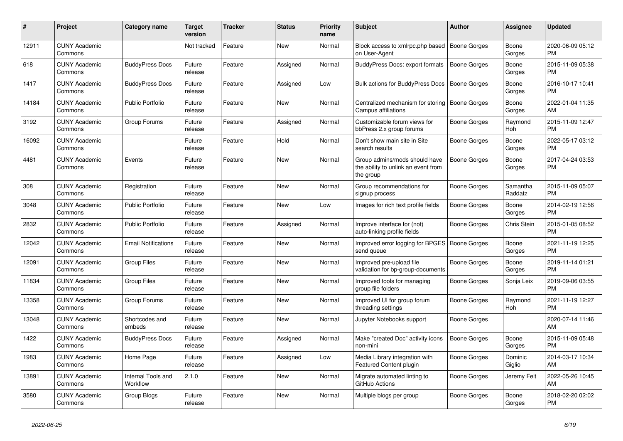| #     | <b>Project</b>                  | <b>Category name</b>           | <b>Target</b><br>version | Tracker | <b>Status</b> | <b>Priority</b><br>name | <b>Subject</b>                                                                    | <b>Author</b>       | Assignee            | <b>Updated</b>                |
|-------|---------------------------------|--------------------------------|--------------------------|---------|---------------|-------------------------|-----------------------------------------------------------------------------------|---------------------|---------------------|-------------------------------|
| 12911 | <b>CUNY Academic</b><br>Commons |                                | Not tracked              | Feature | <b>New</b>    | Normal                  | Block access to xmlrpc.php based<br>on User-Agent                                 | <b>Boone Gorges</b> | Boone<br>Gorges     | 2020-06-09 05:12<br><b>PM</b> |
| 618   | <b>CUNY Academic</b><br>Commons | <b>BuddyPress Docs</b>         | Future<br>release        | Feature | Assigned      | Normal                  | BuddyPress Docs: export formats                                                   | <b>Boone Gorges</b> | Boone<br>Gorges     | 2015-11-09 05:38<br><b>PM</b> |
| 1417  | <b>CUNY Academic</b><br>Commons | <b>BuddyPress Docs</b>         | Future<br>release        | Feature | Assigned      | Low                     | Bulk actions for BuddyPress Docs                                                  | <b>Boone Gorges</b> | Boone<br>Gorges     | 2016-10-17 10:41<br><b>PM</b> |
| 14184 | <b>CUNY Academic</b><br>Commons | <b>Public Portfolio</b>        | Future<br>release        | Feature | <b>New</b>    | Normal                  | Centralized mechanism for storing<br>Campus affiliations                          | <b>Boone Gorges</b> | Boone<br>Gorges     | 2022-01-04 11:35<br>AM        |
| 3192  | <b>CUNY Academic</b><br>Commons | Group Forums                   | Future<br>release        | Feature | Assigned      | Normal                  | Customizable forum views for<br>bbPress 2.x group forums                          | Boone Gorges        | Raymond<br>Hoh      | 2015-11-09 12:47<br><b>PM</b> |
| 16092 | <b>CUNY Academic</b><br>Commons |                                | Future<br>release        | Feature | Hold          | Normal                  | Don't show main site in Site<br>search results                                    | Boone Gorges        | Boone<br>Gorges     | 2022-05-17 03:12<br><b>PM</b> |
| 4481  | <b>CUNY Academic</b><br>Commons | Events                         | Future<br>release        | Feature | <b>New</b>    | Normal                  | Group admins/mods should have<br>the ability to unlink an event from<br>the group | <b>Boone Gorges</b> | Boone<br>Gorges     | 2017-04-24 03:53<br><b>PM</b> |
| 308   | <b>CUNY Academic</b><br>Commons | Registration                   | Future<br>release        | Feature | <b>New</b>    | Normal                  | Group recommendations for<br>signup process                                       | Boone Gorges        | Samantha<br>Raddatz | 2015-11-09 05:07<br><b>PM</b> |
| 3048  | <b>CUNY Academic</b><br>Commons | <b>Public Portfolio</b>        | Future<br>release        | Feature | <b>New</b>    | Low                     | Images for rich text profile fields                                               | Boone Gorges        | Boone<br>Gorges     | 2014-02-19 12:56<br><b>PM</b> |
| 2832  | <b>CUNY Academic</b><br>Commons | <b>Public Portfolio</b>        | Future<br>release        | Feature | Assigned      | Normal                  | Improve interface for (not)<br>auto-linking profile fields                        | Boone Gorges        | Chris Stein         | 2015-01-05 08:52<br><b>PM</b> |
| 12042 | <b>CUNY Academic</b><br>Commons | <b>Email Notifications</b>     | Future<br>release        | Feature | <b>New</b>    | Normal                  | Improved error logging for BPGES   Boone Gorges<br>send queue                     |                     | Boone<br>Gorges     | 2021-11-19 12:25<br><b>PM</b> |
| 12091 | <b>CUNY Academic</b><br>Commons | Group Files                    | Future<br>release        | Feature | New           | Normal                  | Improved pre-upload file<br>validation for bp-group-documents                     | Boone Gorges        | Boone<br>Gorges     | 2019-11-14 01:21<br><b>PM</b> |
| 11834 | <b>CUNY Academic</b><br>Commons | <b>Group Files</b>             | Future<br>release        | Feature | New           | Normal                  | Improved tools for managing<br>group file folders                                 | Boone Gorges        | Sonja Leix          | 2019-09-06 03:55<br><b>PM</b> |
| 13358 | <b>CUNY Academic</b><br>Commons | Group Forums                   | Future<br>release        | Feature | <b>New</b>    | Normal                  | Improved UI for group forum<br>threading settings                                 | Boone Gorges        | Raymond<br>Hoh      | 2021-11-19 12:27<br><b>PM</b> |
| 13048 | <b>CUNY Academic</b><br>Commons | Shortcodes and<br>embeds       | Future<br>release        | Feature | New           | Normal                  | Jupyter Notebooks support                                                         | Boone Gorges        |                     | 2020-07-14 11:46<br>AM        |
| 1422  | <b>CUNY Academic</b><br>Commons | <b>BuddyPress Docs</b>         | Future<br>release        | Feature | Assigned      | Normal                  | Make "created Doc" activity icons<br>non-mini                                     | <b>Boone Gorges</b> | Boone<br>Gorges     | 2015-11-09 05:48<br><b>PM</b> |
| 1983  | <b>CUNY Academic</b><br>Commons | Home Page                      | Future<br>release        | Feature | Assigned      | Low                     | Media Library integration with<br><b>Featured Content plugin</b>                  | Boone Gorges        | Dominic<br>Giglio   | 2014-03-17 10:34<br>AM        |
| 13891 | <b>CUNY Academic</b><br>Commons | Internal Tools and<br>Workflow | 2.1.0                    | Feature | <b>New</b>    | Normal                  | Migrate automated linting to<br>GitHub Actions                                    | Boone Gorges        | Jeremy Felt         | 2022-05-26 10:45<br>AM        |
| 3580  | <b>CUNY Academic</b><br>Commons | Group Blogs                    | Future<br>release        | Feature | <b>New</b>    | Normal                  | Multiple blogs per group                                                          | Boone Gorges        | Boone<br>Gorges     | 2018-02-20 02:02<br>PM        |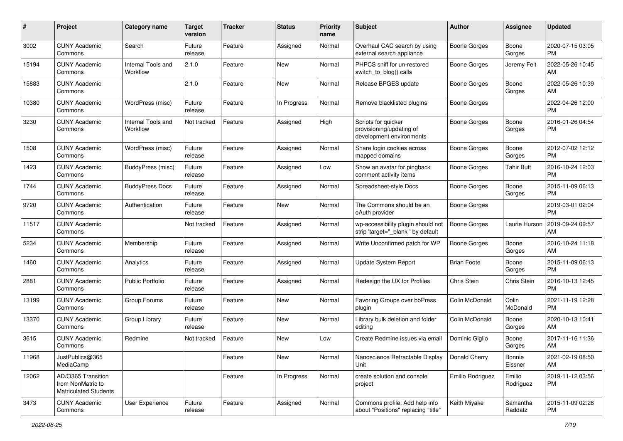| #     | Project                                                                 | <b>Category name</b>           | <b>Target</b><br>version | <b>Tracker</b> | <b>Status</b> | <b>Priority</b><br>name | <b>Subject</b>                                                              | <b>Author</b>       | Assignee            | <b>Updated</b>                |
|-------|-------------------------------------------------------------------------|--------------------------------|--------------------------|----------------|---------------|-------------------------|-----------------------------------------------------------------------------|---------------------|---------------------|-------------------------------|
| 3002  | <b>CUNY Academic</b><br>Commons                                         | Search                         | Future<br>release        | Feature        | Assigned      | Normal                  | Overhaul CAC search by using<br>external search appliance                   | <b>Boone Gorges</b> | Boone<br>Gorges     | 2020-07-15 03:05<br><b>PM</b> |
| 15194 | <b>CUNY Academic</b><br>Commons                                         | Internal Tools and<br>Workflow | 2.1.0                    | Feature        | <b>New</b>    | Normal                  | PHPCS sniff for un-restored<br>switch_to_blog() calls                       | <b>Boone Gorges</b> | Jeremy Felt         | 2022-05-26 10:45<br>AM        |
| 15883 | <b>CUNY Academic</b><br>Commons                                         |                                | 2.1.0                    | Feature        | <b>New</b>    | Normal                  | Release BPGES update                                                        | <b>Boone Gorges</b> | Boone<br>Gorges     | 2022-05-26 10:39<br>AM        |
| 10380 | <b>CUNY Academic</b><br>Commons                                         | WordPress (misc)               | Future<br>release        | Feature        | In Progress   | Normal                  | Remove blacklisted plugins                                                  | <b>Boone Gorges</b> |                     | 2022-04-26 12:00<br><b>PM</b> |
| 3230  | <b>CUNY Academic</b><br>Commons                                         | Internal Tools and<br>Workflow | Not tracked              | Feature        | Assigned      | High                    | Scripts for quicker<br>provisioning/updating of<br>development environments | <b>Boone Gorges</b> | Boone<br>Gorges     | 2016-01-26 04:54<br><b>PM</b> |
| 1508  | <b>CUNY Academic</b><br>Commons                                         | WordPress (misc)               | Future<br>release        | Feature        | Assigned      | Normal                  | Share login cookies across<br>mapped domains                                | <b>Boone Gorges</b> | Boone<br>Gorges     | 2012-07-02 12:12<br><b>PM</b> |
| 1423  | <b>CUNY Academic</b><br>Commons                                         | BuddyPress (misc)              | Future<br>release        | Feature        | Assigned      | Low                     | Show an avatar for pingback<br>comment activity items                       | <b>Boone Gorges</b> | <b>Tahir Butt</b>   | 2016-10-24 12:03<br><b>PM</b> |
| 1744  | <b>CUNY Academic</b><br>Commons                                         | <b>BuddyPress Docs</b>         | Future<br>release        | Feature        | Assigned      | Normal                  | Spreadsheet-style Docs                                                      | <b>Boone Gorges</b> | Boone<br>Gorges     | 2015-11-09 06:13<br><b>PM</b> |
| 9720  | <b>CUNY Academic</b><br>Commons                                         | Authentication                 | Future<br>release        | Feature        | <b>New</b>    | Normal                  | The Commons should be an<br>oAuth provider                                  | <b>Boone Gorges</b> |                     | 2019-03-01 02:04<br><b>PM</b> |
| 11517 | <b>CUNY Academic</b><br>Commons                                         |                                | Not tracked              | Feature        | Assigned      | Normal                  | wp-accessibility plugin should not<br>strip 'target="_blank"' by default    | <b>Boone Gorges</b> | Laurie Hurson       | 2019-09-24 09:57<br>AM        |
| 5234  | <b>CUNY Academic</b><br>Commons                                         | Membership                     | Future<br>release        | Feature        | Assigned      | Normal                  | Write Unconfirmed patch for WP                                              | <b>Boone Gorges</b> | Boone<br>Gorges     | 2016-10-24 11:18<br>AM        |
| 1460  | <b>CUNY Academic</b><br>Commons                                         | Analytics                      | Future<br>release        | Feature        | Assigned      | Normal                  | <b>Update System Report</b>                                                 | <b>Brian Foote</b>  | Boone<br>Gorges     | 2015-11-09 06:13<br><b>PM</b> |
| 2881  | <b>CUNY Academic</b><br>Commons                                         | <b>Public Portfolio</b>        | Future<br>release        | Feature        | Assigned      | Normal                  | Redesign the UX for Profiles                                                | Chris Stein         | Chris Stein         | 2016-10-13 12:45<br><b>PM</b> |
| 13199 | <b>CUNY Academic</b><br>Commons                                         | Group Forums                   | Future<br>release        | Feature        | New           | Normal                  | Favoring Groups over bbPress<br>plugin                                      | Colin McDonald      | Colin<br>McDonald   | 2021-11-19 12:28<br>PM        |
| 13370 | <b>CUNY Academic</b><br>Commons                                         | Group Library                  | Future<br>release        | Feature        | <b>New</b>    | Normal                  | Library bulk deletion and folder<br>editing                                 | Colin McDonald      | Boone<br>Gorges     | 2020-10-13 10:41<br>AM        |
| 3615  | <b>CUNY Academic</b><br>Commons                                         | Redmine                        | Not tracked              | Feature        | <b>New</b>    | Low                     | Create Redmine issues via emai                                              | Dominic Giglio      | Boone<br>Gorges     | 2017-11-16 11:36<br>AM        |
| 11968 | JustPublics@365<br>MediaCamp                                            |                                |                          | Feature        | New           | Normal                  | Nanoscience Retractable Display<br>Unit                                     | Donald Cherry       | Bonnie<br>Eissner   | 2021-02-19 08:50<br>AM        |
| 12062 | AD/O365 Transition<br>from NonMatric to<br><b>Matriculated Students</b> |                                |                          | Feature        | In Progress   | Normal                  | create solution and console<br>project                                      | Emilio Rodriguez    | Emilio<br>Rodriguez | 2019-11-12 03:56<br><b>PM</b> |
| 3473  | <b>CUNY Academic</b><br>Commons                                         | User Experience                | Future<br>release        | Feature        | Assigned      | Normal                  | Commons profile: Add help info<br>about "Positions" replacing "title"       | Keith Miyake        | Samantha<br>Raddatz | 2015-11-09 02:28<br>PM        |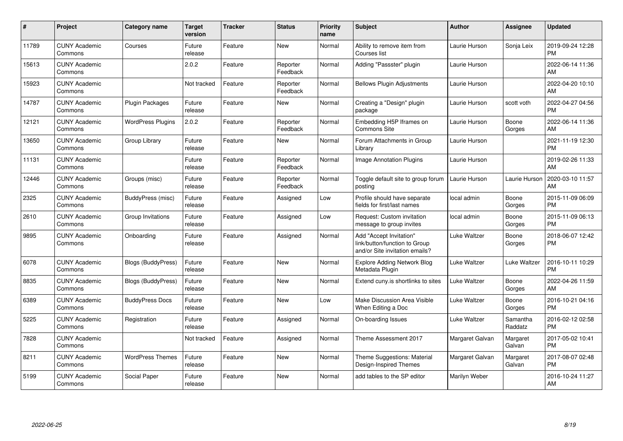| #     | Project                         | <b>Category name</b>      | <b>Target</b><br>version | <b>Tracker</b> | <b>Status</b>        | <b>Priority</b><br>name | <b>Subject</b>                                                                             | <b>Author</b>   | <b>Assignee</b>     | <b>Updated</b>                |
|-------|---------------------------------|---------------------------|--------------------------|----------------|----------------------|-------------------------|--------------------------------------------------------------------------------------------|-----------------|---------------------|-------------------------------|
| 11789 | <b>CUNY Academic</b><br>Commons | Courses                   | Future<br>release        | Feature        | <b>New</b>           | Normal                  | Ability to remove item from<br>Courses list                                                | Laurie Hurson   | Sonja Leix          | 2019-09-24 12:28<br><b>PM</b> |
| 15613 | <b>CUNY Academic</b><br>Commons |                           | 2.0.2                    | Feature        | Reporter<br>Feedback | Normal                  | Adding "Passster" plugin                                                                   | Laurie Hurson   |                     | 2022-06-14 11:36<br>AM        |
| 15923 | <b>CUNY Academic</b><br>Commons |                           | Not tracked              | Feature        | Reporter<br>Feedback | Normal                  | <b>Bellows Plugin Adjustments</b>                                                          | Laurie Hurson   |                     | 2022-04-20 10:10<br>AM        |
| 14787 | <b>CUNY Academic</b><br>Commons | <b>Plugin Packages</b>    | Future<br>release        | Feature        | <b>New</b>           | Normal                  | Creating a "Design" plugin<br>package                                                      | Laurie Hurson   | scott voth          | 2022-04-27 04:56<br><b>PM</b> |
| 12121 | <b>CUNY Academic</b><br>Commons | <b>WordPress Plugins</b>  | 2.0.2                    | Feature        | Reporter<br>Feedback | Normal                  | Embedding H5P Iframes on<br><b>Commons Site</b>                                            | Laurie Hurson   | Boone<br>Gorges     | 2022-06-14 11:36<br>AM        |
| 13650 | <b>CUNY Academic</b><br>Commons | Group Library             | Future<br>release        | Feature        | <b>New</b>           | Normal                  | Forum Attachments in Group<br>Library                                                      | Laurie Hurson   |                     | 2021-11-19 12:30<br><b>PM</b> |
| 11131 | <b>CUNY Academic</b><br>Commons |                           | Future<br>release        | Feature        | Reporter<br>Feedback | Normal                  | Image Annotation Plugins                                                                   | Laurie Hurson   |                     | 2019-02-26 11:33<br>AM        |
| 12446 | <b>CUNY Academic</b><br>Commons | Groups (misc)             | Future<br>release        | Feature        | Reporter<br>Feedback | Normal                  | Toggle default site to group forum<br>posting                                              | Laurie Hurson   | Laurie Hurson       | 2020-03-10 11:57<br>AM        |
| 2325  | <b>CUNY Academic</b><br>Commons | BuddyPress (misc)         | Future<br>release        | Feature        | Assigned             | Low                     | Profile should have separate<br>fields for first/last names                                | local admin     | Boone<br>Gorges     | 2015-11-09 06:09<br><b>PM</b> |
| 2610  | <b>CUNY Academic</b><br>Commons | Group Invitations         | Future<br>release        | Feature        | Assigned             | Low                     | Request: Custom invitation<br>message to group invites                                     | local admin     | Boone<br>Gorges     | 2015-11-09 06:13<br><b>PM</b> |
| 9895  | <b>CUNY Academic</b><br>Commons | Onboarding                | Future<br>release        | Feature        | Assigned             | Normal                  | Add "Accept Invitation"<br>link/button/function to Group<br>and/or Site invitation emails? | Luke Waltzer    | Boone<br>Gorges     | 2018-06-07 12:42<br><b>PM</b> |
| 6078  | <b>CUNY Academic</b><br>Commons | Blogs (BuddyPress)        | Future<br>release        | Feature        | <b>New</b>           | Normal                  | <b>Explore Adding Network Blog</b><br>Metadata Plugin                                      | Luke Waltzer    | Luke Waltzer        | 2016-10-11 10:29<br><b>PM</b> |
| 8835  | <b>CUNY Academic</b><br>Commons | <b>Blogs (BuddyPress)</b> | Future<br>release        | Feature        | <b>New</b>           | Normal                  | Extend cuny.is shortlinks to sites                                                         | Luke Waltzer    | Boone<br>Gorges     | 2022-04-26 11:59<br>AM        |
| 6389  | <b>CUNY Academic</b><br>Commons | <b>BuddyPress Docs</b>    | Future<br>release        | Feature        | <b>New</b>           | Low                     | Make Discussion Area Visible<br>When Editing a Doc                                         | Luke Waltzer    | Boone<br>Gorges     | 2016-10-21 04:16<br><b>PM</b> |
| 5225  | <b>CUNY Academic</b><br>Commons | Registration              | Future<br>release        | Feature        | Assigned             | Normal                  | On-boarding Issues                                                                         | Luke Waltzer    | Samantha<br>Raddatz | 2016-02-12 02:58<br><b>PM</b> |
| 7828  | <b>CUNY Academic</b><br>Commons |                           | Not tracked              | Feature        | Assigned             | Normal                  | Theme Assessment 2017                                                                      | Margaret Galvan | Margaret<br>Galvan  | 2017-05-02 10:41<br><b>PM</b> |
| 8211  | <b>CUNY Academic</b><br>Commons | <b>WordPress Themes</b>   | Future<br>release        | Feature        | <b>New</b>           | Normal                  | Theme Suggestions: Material<br>Design-Inspired Themes                                      | Margaret Galvan | Margaret<br>Galvan  | 2017-08-07 02:48<br><b>PM</b> |
| 5199  | <b>CUNY Academic</b><br>Commons | Social Paper              | Future<br>release        | Feature        | <b>New</b>           | Normal                  | add tables to the SP editor                                                                | Marilyn Weber   |                     | 2016-10-24 11:27<br>AM        |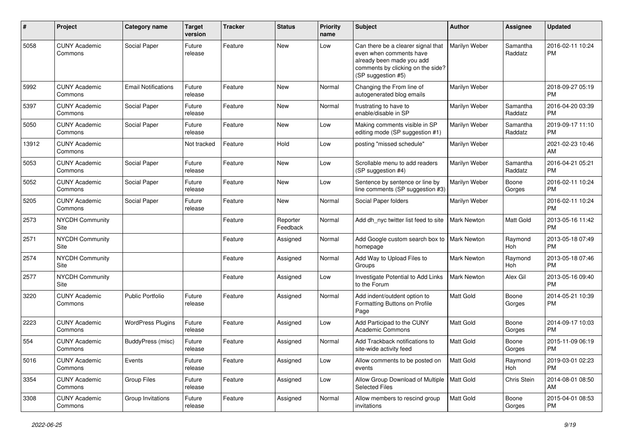| #     | Project                         | <b>Category name</b>       | <b>Target</b><br>version | <b>Tracker</b> | <b>Status</b>        | <b>Priority</b><br>name | Subject                                                                                                                                               | Author             | <b>Assignee</b>     | <b>Updated</b>                |
|-------|---------------------------------|----------------------------|--------------------------|----------------|----------------------|-------------------------|-------------------------------------------------------------------------------------------------------------------------------------------------------|--------------------|---------------------|-------------------------------|
| 5058  | <b>CUNY Academic</b><br>Commons | Social Paper               | Future<br>release        | Feature        | <b>New</b>           | Low                     | Can there be a clearer signal that<br>even when comments have<br>already been made you add<br>comments by clicking on the side?<br>(SP suggestion #5) | Marilyn Weber      | Samantha<br>Raddatz | 2016-02-11 10:24<br>РM        |
| 5992  | <b>CUNY Academic</b><br>Commons | <b>Email Notifications</b> | Future<br>release        | Feature        | New                  | Normal                  | Changing the From line of<br>autogenerated blog emails                                                                                                | Marilyn Weber      |                     | 2018-09-27 05:19<br><b>PM</b> |
| 5397  | <b>CUNY Academic</b><br>Commons | Social Paper               | Future<br>release        | Feature        | New                  | Normal                  | frustrating to have to<br>enable/disable in SP                                                                                                        | Marilyn Weber      | Samantha<br>Raddatz | 2016-04-20 03:39<br><b>PM</b> |
| 5050  | <b>CUNY Academic</b><br>Commons | Social Paper               | Future<br>release        | Feature        | New                  | Low                     | Making comments visible in SP<br>editing mode (SP suggestion #1)                                                                                      | Marilyn Weber      | Samantha<br>Raddatz | 2019-09-17 11:10<br>РM        |
| 13912 | <b>CUNY Academic</b><br>Commons |                            | Not tracked              | Feature        | Hold                 | Low                     | posting "missed schedule"                                                                                                                             | Marilyn Weber      |                     | 2021-02-23 10:46<br>AM        |
| 5053  | <b>CUNY Academic</b><br>Commons | Social Paper               | Future<br>release        | Feature        | New                  | Low                     | Scrollable menu to add readers<br>(SP suggestion #4)                                                                                                  | Marilyn Weber      | Samantha<br>Raddatz | 2016-04-21 05:21<br>РM        |
| 5052  | <b>CUNY Academic</b><br>Commons | Social Paper               | Future<br>release        | Feature        | New                  | Low                     | Sentence by sentence or line by<br>line comments (SP suggestion #3)                                                                                   | Marilyn Weber      | Boone<br>Gorges     | 2016-02-11 10:24<br><b>PM</b> |
| 5205  | <b>CUNY Academic</b><br>Commons | Social Paper               | Future<br>release        | Feature        | New                  | Normal                  | Social Paper folders                                                                                                                                  | Marilyn Weber      |                     | 2016-02-11 10:24<br><b>PM</b> |
| 2573  | <b>NYCDH Community</b><br>Site  |                            |                          | Feature        | Reporter<br>Feedback | Normal                  | Add dh_nyc twitter list feed to site                                                                                                                  | Mark Newton        | Matt Gold           | 2013-05-16 11:42<br><b>PM</b> |
| 2571  | <b>NYCDH Community</b><br>Site  |                            |                          | Feature        | Assigned             | Normal                  | Add Google custom search box to<br>homepage                                                                                                           | Mark Newton        | Raymond<br>Hoh      | 2013-05-18 07:49<br><b>PM</b> |
| 2574  | NYCDH Community<br>Site         |                            |                          | Feature        | Assigned             | Normal                  | Add Way to Upload Files to<br>Groups                                                                                                                  | <b>Mark Newton</b> | Raymond<br>Hoh      | 2013-05-18 07:46<br><b>PM</b> |
| 2577  | NYCDH Community<br>Site         |                            |                          | Feature        | Assigned             | Low                     | Investigate Potential to Add Links<br>to the Forum                                                                                                    | Mark Newton        | Alex Gil            | 2013-05-16 09:40<br><b>PM</b> |
| 3220  | <b>CUNY Academic</b><br>Commons | <b>Public Portfolio</b>    | Future<br>release        | Feature        | Assigned             | Normal                  | Add indent/outdent option to<br>Formatting Buttons on Profile<br>Page                                                                                 | Matt Gold          | Boone<br>Gorges     | 2014-05-21 10:39<br><b>PM</b> |
| 2223  | <b>CUNY Academic</b><br>Commons | <b>WordPress Plugins</b>   | Future<br>release        | Feature        | Assigned             | Low                     | Add Participad to the CUNY<br><b>Academic Commons</b>                                                                                                 | Matt Gold          | Boone<br>Gorges     | 2014-09-17 10:03<br><b>PM</b> |
| 554   | <b>CUNY Academic</b><br>Commons | <b>BuddyPress</b> (misc)   | Future<br>release        | Feature        | Assigned             | Normal                  | Add Trackback notifications to<br>site-wide activity feed                                                                                             | Matt Gold          | Boone<br>Gorges     | 2015-11-09 06:19<br><b>PM</b> |
| 5016  | <b>CUNY Academic</b><br>Commons | Events                     | Future<br>release        | Feature        | Assigned             | Low                     | Allow comments to be posted on<br>events                                                                                                              | Matt Gold          | Raymond<br>Hoh      | 2019-03-01 02:23<br><b>PM</b> |
| 3354  | <b>CUNY Academic</b><br>Commons | Group Files                | Future<br>release        | Feature        | Assigned             | Low                     | Allow Group Download of Multiple<br><b>Selected Files</b>                                                                                             | Matt Gold          | Chris Stein         | 2014-08-01 08:50<br>AM        |
| 3308  | <b>CUNY Academic</b><br>Commons | Group Invitations          | Future<br>release        | Feature        | Assigned             | Normal                  | Allow members to rescind group<br>invitations                                                                                                         | Matt Gold          | Boone<br>Gorges     | 2015-04-01 08:53<br>PM        |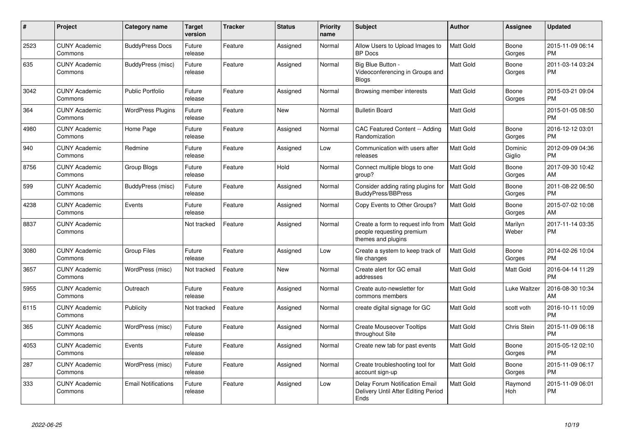| #    | Project                         | <b>Category name</b>       | <b>Target</b><br>version | <b>Tracker</b> | <b>Status</b> | <b>Priority</b><br>name | <b>Subject</b>                                                                            | <b>Author</b>    | Assignee          | <b>Updated</b>                |
|------|---------------------------------|----------------------------|--------------------------|----------------|---------------|-------------------------|-------------------------------------------------------------------------------------------|------------------|-------------------|-------------------------------|
| 2523 | <b>CUNY Academic</b><br>Commons | <b>BuddyPress Docs</b>     | Future<br>release        | Feature        | Assigned      | Normal                  | Allow Users to Upload Images to<br><b>BP</b> Docs                                         | <b>Matt Gold</b> | Boone<br>Gorges   | 2015-11-09 06:14<br><b>PM</b> |
| 635  | <b>CUNY Academic</b><br>Commons | BuddyPress (misc)          | Future<br>release        | Feature        | Assigned      | Normal                  | Big Blue Button -<br>Videoconferencing in Groups and<br><b>Blogs</b>                      | Matt Gold        | Boone<br>Gorges   | 2011-03-14 03:24<br><b>PM</b> |
| 3042 | <b>CUNY Academic</b><br>Commons | <b>Public Portfolio</b>    | Future<br>release        | Feature        | Assigned      | Normal                  | Browsing member interests                                                                 | <b>Matt Gold</b> | Boone<br>Gorges   | 2015-03-21 09:04<br><b>PM</b> |
| 364  | <b>CUNY Academic</b><br>Commons | <b>WordPress Plugins</b>   | Future<br>release        | Feature        | <b>New</b>    | Normal                  | <b>Bulletin Board</b>                                                                     | Matt Gold        |                   | 2015-01-05 08:50<br><b>PM</b> |
| 4980 | <b>CUNY Academic</b><br>Commons | Home Page                  | Future<br>release        | Feature        | Assigned      | Normal                  | CAC Featured Content -- Adding<br>Randomization                                           | Matt Gold        | Boone<br>Gorges   | 2016-12-12 03:01<br><b>PM</b> |
| 940  | <b>CUNY Academic</b><br>Commons | Redmine                    | Future<br>release        | Feature        | Assigned      | Low                     | Communication with users after<br>releases                                                | Matt Gold        | Dominic<br>Giglio | 2012-09-09 04:36<br><b>PM</b> |
| 8756 | <b>CUNY Academic</b><br>Commons | Group Blogs                | Future<br>release        | Feature        | Hold          | Normal                  | Connect multiple blogs to one<br>group?                                                   | Matt Gold        | Boone<br>Gorges   | 2017-09-30 10:42<br>AM        |
| 599  | <b>CUNY Academic</b><br>Commons | BuddyPress (misc)          | Future<br>release        | Feature        | Assigned      | Normal                  | Consider adding rating plugins for<br><b>BuddyPress/BBPress</b>                           | Matt Gold        | Boone<br>Gorges   | 2011-08-22 06:50<br><b>PM</b> |
| 4238 | <b>CUNY Academic</b><br>Commons | Events                     | Future<br>release        | Feature        | Assigned      | Normal                  | Copy Events to Other Groups?                                                              | Matt Gold        | Boone<br>Gorges   | 2015-07-02 10:08<br>AM        |
| 8837 | <b>CUNY Academic</b><br>Commons |                            | Not tracked              | Feature        | Assigned      | Normal                  | Create a form to request info from $ $<br>people requesting premium<br>themes and plugins | <b>Matt Gold</b> | Marilyn<br>Weber  | 2017-11-14 03:35<br><b>PM</b> |
| 3080 | <b>CUNY Academic</b><br>Commons | <b>Group Files</b>         | Future<br>release        | Feature        | Assigned      | Low                     | Create a system to keep track of<br>file changes                                          | <b>Matt Gold</b> | Boone<br>Gorges   | 2014-02-26 10:04<br><b>PM</b> |
| 3657 | <b>CUNY Academic</b><br>Commons | WordPress (misc)           | Not tracked              | Feature        | <b>New</b>    | Normal                  | Create alert for GC email<br>addresses                                                    | Matt Gold        | Matt Gold         | 2016-04-14 11:29<br><b>PM</b> |
| 5955 | <b>CUNY Academic</b><br>Commons | Outreach                   | Future<br>release        | Feature        | Assigned      | Normal                  | Create auto-newsletter for<br>commons members                                             | Matt Gold        | Luke Waltzer      | 2016-08-30 10:34<br>AM        |
| 6115 | <b>CUNY Academic</b><br>Commons | Publicity                  | Not tracked              | Feature        | Assigned      | Normal                  | create digital signage for GC                                                             | Matt Gold        | scott voth        | 2016-10-11 10:09<br><b>PM</b> |
| 365  | <b>CUNY Academic</b><br>Commons | WordPress (misc)           | Future<br>release        | Feature        | Assigned      | Normal                  | <b>Create Mouseover Tooltips</b><br>throughout Site                                       | <b>Matt Gold</b> | Chris Stein       | 2015-11-09 06:18<br><b>PM</b> |
| 4053 | <b>CUNY Academic</b><br>Commons | Events                     | Future<br>release        | Feature        | Assigned      | Normal                  | Create new tab for past events                                                            | Matt Gold        | Boone<br>Gorges   | 2015-05-12 02:10<br><b>PM</b> |
| 287  | <b>CUNY Academic</b><br>Commons | WordPress (misc)           | Future<br>release        | Feature        | Assigned      | Normal                  | Create troubleshooting tool for<br>account sign-up                                        | Matt Gold        | Boone<br>Gorges   | 2015-11-09 06:17<br><b>PM</b> |
| 333  | <b>CUNY Academic</b><br>Commons | <b>Email Notifications</b> | Future<br>release        | Feature        | Assigned      | Low                     | Delay Forum Notification Email<br>Delivery Until After Editing Period<br>Ends             | <b>Matt Gold</b> | Raymond<br>Hoh    | 2015-11-09 06:01<br><b>PM</b> |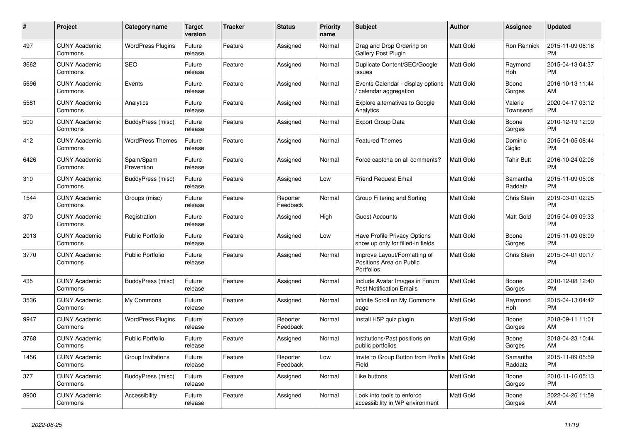| $\pmb{\#}$ | <b>Project</b>                  | Category name            | <b>Target</b><br>version | <b>Tracker</b> | <b>Status</b>        | <b>Priority</b><br>name | <b>Subject</b>                                                           | <b>Author</b>    | <b>Assignee</b>     | <b>Updated</b>                |
|------------|---------------------------------|--------------------------|--------------------------|----------------|----------------------|-------------------------|--------------------------------------------------------------------------|------------------|---------------------|-------------------------------|
| 497        | <b>CUNY Academic</b><br>Commons | <b>WordPress Plugins</b> | Future<br>release        | Feature        | Assigned             | Normal                  | Drag and Drop Ordering on<br>Gallery Post Plugin                         | <b>Matt Gold</b> | Ron Rennick         | 2015-11-09 06:18<br><b>PM</b> |
| 3662       | <b>CUNY Academic</b><br>Commons | <b>SEO</b>               | Future<br>release        | Feature        | Assigned             | Normal                  | Duplicate Content/SEO/Google<br>issues                                   | <b>Matt Gold</b> | Raymond<br>Hoh      | 2015-04-13 04:37<br><b>PM</b> |
| 5696       | <b>CUNY Academic</b><br>Commons | Events                   | Future<br>release        | Feature        | Assigned             | Normal                  | Events Calendar - display options<br>calendar aggregation                | Matt Gold        | Boone<br>Gorges     | 2016-10-13 11:44<br>AM        |
| 5581       | <b>CUNY Academic</b><br>Commons | Analytics                | Future<br>release        | Feature        | Assigned             | Normal                  | <b>Explore alternatives to Google</b><br>Analytics                       | <b>Matt Gold</b> | Valerie<br>Townsend | 2020-04-17 03:12<br><b>PM</b> |
| 500        | <b>CUNY Academic</b><br>Commons | BuddyPress (misc)        | Future<br>release        | Feature        | Assigned             | Normal                  | <b>Export Group Data</b>                                                 | Matt Gold        | Boone<br>Gorges     | 2010-12-19 12:09<br><b>PM</b> |
| 412        | <b>CUNY Academic</b><br>Commons | <b>WordPress Themes</b>  | Future<br>release        | Feature        | Assigned             | Normal                  | <b>Featured Themes</b>                                                   | Matt Gold        | Dominic<br>Giglio   | 2015-01-05 08:44<br><b>PM</b> |
| 6426       | <b>CUNY Academic</b><br>Commons | Spam/Spam<br>Prevention  | Future<br>release        | Feature        | Assigned             | Normal                  | Force captcha on all comments?                                           | <b>Matt Gold</b> | <b>Tahir Butt</b>   | 2016-10-24 02:06<br><b>PM</b> |
| 310        | <b>CUNY Academic</b><br>Commons | BuddyPress (misc)        | Future<br>release        | Feature        | Assigned             | Low                     | <b>Friend Request Email</b>                                              | <b>Matt Gold</b> | Samantha<br>Raddatz | 2015-11-09 05:08<br><b>PM</b> |
| 1544       | <b>CUNY Academic</b><br>Commons | Groups (misc)            | Future<br>release        | Feature        | Reporter<br>Feedback | Normal                  | Group Filtering and Sorting                                              | Matt Gold        | Chris Stein         | 2019-03-01 02:25<br><b>PM</b> |
| 370        | <b>CUNY Academic</b><br>Commons | Registration             | Future<br>release        | Feature        | Assigned             | High                    | <b>Guest Accounts</b>                                                    | <b>Matt Gold</b> | <b>Matt Gold</b>    | 2015-04-09 09:33<br><b>PM</b> |
| 2013       | <b>CUNY Academic</b><br>Commons | <b>Public Portfolio</b>  | Future<br>release        | Feature        | Assigned             | Low                     | <b>Have Profile Privacy Options</b><br>show up only for filled-in fields | <b>Matt Gold</b> | Boone<br>Gorges     | 2015-11-09 06:09<br><b>PM</b> |
| 3770       | <b>CUNY Academic</b><br>Commons | <b>Public Portfolio</b>  | Future<br>release        | Feature        | Assigned             | Normal                  | Improve Layout/Formatting of<br>Positions Area on Public<br>Portfolios   | <b>Matt Gold</b> | Chris Stein         | 2015-04-01 09:17<br><b>PM</b> |
| 435        | <b>CUNY Academic</b><br>Commons | BuddyPress (misc)        | Future<br>release        | Feature        | Assigned             | Normal                  | Include Avatar Images in Forum<br><b>Post Notification Emails</b>        | <b>Matt Gold</b> | Boone<br>Gorges     | 2010-12-08 12:40<br><b>PM</b> |
| 3536       | <b>CUNY Academic</b><br>Commons | My Commons               | Future<br>release        | Feature        | Assigned             | Normal                  | Infinite Scroll on My Commons<br>page                                    | <b>Matt Gold</b> | Raymond<br>Hoh      | 2015-04-13 04:42<br><b>PM</b> |
| 9947       | <b>CUNY Academic</b><br>Commons | <b>WordPress Plugins</b> | Future<br>release        | Feature        | Reporter<br>Feedback | Normal                  | Install H5P quiz plugin                                                  | Matt Gold        | Boone<br>Gorges     | 2018-09-11 11:01<br>AM        |
| 3768       | <b>CUNY Academic</b><br>Commons | <b>Public Portfolio</b>  | Future<br>release        | Feature        | Assigned             | Normal                  | Institutions/Past positions on<br>public portfolios                      | Matt Gold        | Boone<br>Gorges     | 2018-04-23 10:44<br>AM        |
| 1456       | <b>CUNY Academic</b><br>Commons | Group Invitations        | Future<br>release        | Feature        | Reporter<br>Feedback | Low                     | Invite to Group Button from Profile   Matt Gold<br>Field                 |                  | Samantha<br>Raddatz | 2015-11-09 05:59<br><b>PM</b> |
| 377        | <b>CUNY Academic</b><br>Commons | BuddyPress (misc)        | Future<br>release        | Feature        | Assigned             | Normal                  | Like buttons                                                             | <b>Matt Gold</b> | Boone<br>Gorges     | 2010-11-16 05:13<br><b>PM</b> |
| 8900       | <b>CUNY Academic</b><br>Commons | Accessibility            | Future<br>release        | Feature        | Assigned             | Normal                  | Look into tools to enforce<br>accessibility in WP environment            | <b>Matt Gold</b> | Boone<br>Gorges     | 2022-04-26 11:59<br>AM        |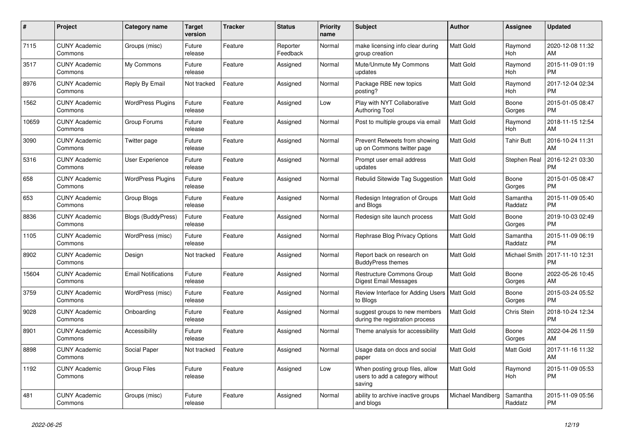| $\pmb{\#}$ | <b>Project</b>                  | Category name              | <b>Target</b><br>version | <b>Tracker</b> | <b>Status</b>        | <b>Priority</b><br>name | <b>Subject</b>                                                               | <b>Author</b>     | <b>Assignee</b>       | <b>Updated</b>                |
|------------|---------------------------------|----------------------------|--------------------------|----------------|----------------------|-------------------------|------------------------------------------------------------------------------|-------------------|-----------------------|-------------------------------|
| 7115       | <b>CUNY Academic</b><br>Commons | Groups (misc)              | Future<br>release        | Feature        | Reporter<br>Feedback | Normal                  | make licensing info clear during<br>group creation                           | <b>Matt Gold</b>  | Raymond<br><b>Hoh</b> | 2020-12-08 11:32<br>AM        |
| 3517       | <b>CUNY Academic</b><br>Commons | My Commons                 | Future<br>release        | Feature        | Assigned             | Normal                  | Mute/Unmute My Commons<br>updates                                            | <b>Matt Gold</b>  | Raymond<br>Hoh        | 2015-11-09 01:19<br><b>PM</b> |
| 8976       | <b>CUNY Academic</b><br>Commons | Reply By Email             | Not tracked              | Feature        | Assigned             | Normal                  | Package RBE new topics<br>posting?                                           | Matt Gold         | Raymond<br>Hoh        | 2017-12-04 02:34<br>PM        |
| 1562       | <b>CUNY Academic</b><br>Commons | <b>WordPress Plugins</b>   | Future<br>release        | Feature        | Assigned             | Low                     | Play with NYT Collaborative<br><b>Authoring Tool</b>                         | Matt Gold         | Boone<br>Gorges       | 2015-01-05 08:47<br><b>PM</b> |
| 10659      | <b>CUNY Academic</b><br>Commons | Group Forums               | Future<br>release        | Feature        | Assigned             | Normal                  | Post to multiple groups via email                                            | <b>Matt Gold</b>  | Raymond<br>Hoh        | 2018-11-15 12:54<br>AM        |
| 3090       | <b>CUNY Academic</b><br>Commons | Twitter page               | Future<br>release        | Feature        | Assigned             | Normal                  | Prevent Retweets from showing<br>up on Commons twitter page                  | Matt Gold         | <b>Tahir Butt</b>     | 2016-10-24 11:31<br>AM        |
| 5316       | <b>CUNY Academic</b><br>Commons | <b>User Experience</b>     | Future<br>release        | Feature        | Assigned             | Normal                  | Prompt user email address<br>updates                                         | <b>Matt Gold</b>  | Stephen Real          | 2016-12-21 03:30<br><b>PM</b> |
| 658        | <b>CUNY Academic</b><br>Commons | <b>WordPress Plugins</b>   | Future<br>release        | Feature        | Assigned             | Normal                  | Rebulid Sitewide Tag Suggestion                                              | <b>Matt Gold</b>  | Boone<br>Gorges       | 2015-01-05 08:47<br>PM        |
| 653        | <b>CUNY Academic</b><br>Commons | Group Blogs                | Future<br>release        | Feature        | Assigned             | Normal                  | Redesign Integration of Groups<br>and Blogs                                  | Matt Gold         | Samantha<br>Raddatz   | 2015-11-09 05:40<br><b>PM</b> |
| 8836       | <b>CUNY Academic</b><br>Commons | Blogs (BuddyPress)         | Future<br>release        | Feature        | Assigned             | Normal                  | Redesign site launch process                                                 | <b>Matt Gold</b>  | Boone<br>Gorges       | 2019-10-03 02:49<br><b>PM</b> |
| 1105       | <b>CUNY Academic</b><br>Commons | WordPress (misc)           | Future<br>release        | Feature        | Assigned             | Normal                  | Rephrase Blog Privacy Options                                                | <b>Matt Gold</b>  | Samantha<br>Raddatz   | 2015-11-09 06:19<br><b>PM</b> |
| 8902       | <b>CUNY Academic</b><br>Commons | Design                     | Not tracked              | Feature        | Assigned             | Normal                  | Report back on research on<br><b>BuddyPress themes</b>                       | Matt Gold         | Michael Smith         | 2017-11-10 12:31<br><b>PM</b> |
| 15604      | <b>CUNY Academic</b><br>Commons | <b>Email Notifications</b> | Future<br>release        | Feature        | Assigned             | Normal                  | <b>Restructure Commons Group</b><br>Digest Email Messages                    | <b>Matt Gold</b>  | Boone<br>Gorges       | 2022-05-26 10:45<br>AM        |
| 3759       | <b>CUNY Academic</b><br>Commons | WordPress (misc)           | Future<br>release        | Feature        | Assigned             | Normal                  | Review Interface for Adding Users   Matt Gold<br>to Blogs                    |                   | Boone<br>Gorges       | 2015-03-24 05:52<br><b>PM</b> |
| 9028       | <b>CUNY Academic</b><br>Commons | Onboarding                 | Future<br>release        | Feature        | Assigned             | Normal                  | suggest groups to new members<br>during the registration process             | <b>Matt Gold</b>  | Chris Stein           | 2018-10-24 12:34<br><b>PM</b> |
| 8901       | <b>CUNY Academic</b><br>Commons | Accessibility              | Future<br>release        | Feature        | Assigned             | Normal                  | Theme analysis for accessibility                                             | <b>Matt Gold</b>  | Boone<br>Gorges       | 2022-04-26 11:59<br>AM        |
| 8898       | <b>CUNY Academic</b><br>Commons | Social Paper               | Not tracked              | Feature        | Assigned             | Normal                  | Usage data on docs and social<br>paper                                       | Matt Gold         | Matt Gold             | 2017-11-16 11:32<br>AM        |
| 1192       | <b>CUNY Academic</b><br>Commons | <b>Group Files</b>         | Future<br>release        | Feature        | Assigned             | Low                     | When posting group files, allow<br>users to add a category without<br>saving | Matt Gold         | Raymond<br>Hoh        | 2015-11-09 05:53<br><b>PM</b> |
| 481        | <b>CUNY Academic</b><br>Commons | Groups (misc)              | Future<br>release        | Feature        | Assigned             | Normal                  | ability to archive inactive groups<br>and blogs                              | Michael Mandiberg | Samantha<br>Raddatz   | 2015-11-09 05:56<br><b>PM</b> |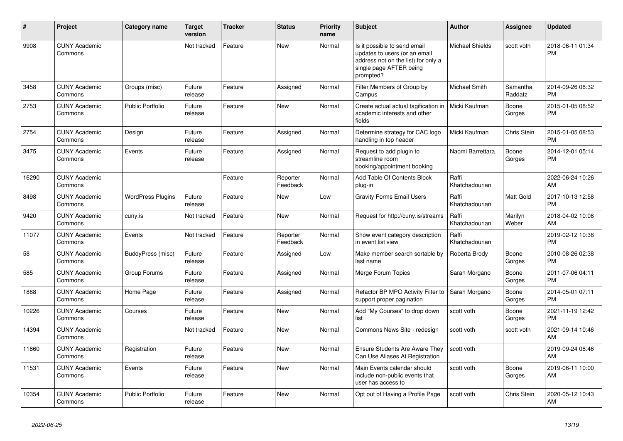| #     | <b>Project</b>                  | <b>Category name</b>     | <b>Target</b><br>version | <b>Tracker</b> | <b>Status</b>        | Priority<br>name | <b>Subject</b>                                                                                                                               | <b>Author</b>           | Assignee            | <b>Updated</b>                |
|-------|---------------------------------|--------------------------|--------------------------|----------------|----------------------|------------------|----------------------------------------------------------------------------------------------------------------------------------------------|-------------------------|---------------------|-------------------------------|
| 9908  | <b>CUNY Academic</b><br>Commons |                          | Not tracked              | Feature        | <b>New</b>           | Normal           | Is it possible to send email<br>updates to users (or an email<br>address not on the list) for only a<br>single page AFTER being<br>prompted? | <b>Michael Shields</b>  | scott voth          | 2018-06-11 01:34<br><b>PM</b> |
| 3458  | <b>CUNY Academic</b><br>Commons | Groups (misc)            | Future<br>release        | Feature        | Assigned             | Normal           | Filter Members of Group by<br>Campus                                                                                                         | Michael Smith           | Samantha<br>Raddatz | 2014-09-26 08:32<br><b>PM</b> |
| 2753  | <b>CUNY Academic</b><br>Commons | <b>Public Portfolio</b>  | Future<br>release        | Feature        | <b>New</b>           | Normal           | Create actual actual tagification in<br>academic interests and other<br>fields                                                               | Micki Kaufman           | Boone<br>Gorges     | 2015-01-05 08:52<br><b>PM</b> |
| 2754  | <b>CUNY Academic</b><br>Commons | Design                   | Future<br>release        | Feature        | Assigned             | Normal           | Determine strategy for CAC logo<br>handling in top header                                                                                    | Micki Kaufman           | Chris Stein         | 2015-01-05 08:53<br><b>PM</b> |
| 3475  | <b>CUNY Academic</b><br>Commons | Events                   | Future<br>release        | Feature        | Assigned             | Normal           | Request to add plugin to<br>streamline room<br>booking/appointment booking                                                                   | Naomi Barrettara        | Boone<br>Gorges     | 2014-12-01 05:14<br><b>PM</b> |
| 16290 | <b>CUNY Academic</b><br>Commons |                          |                          | Feature        | Reporter<br>Feedback | Normal           | Add Table Of Contents Block<br>plug-in                                                                                                       | Raffi<br>Khatchadourian |                     | 2022-06-24 10:26<br>AM        |
| 8498  | <b>CUNY Academic</b><br>Commons | <b>WordPress Plugins</b> | Future<br>release        | Feature        | New                  | Low              | <b>Gravity Forms Email Users</b>                                                                                                             | Raffi<br>Khatchadourian | Matt Gold           | 2017-10-13 12:58<br><b>PM</b> |
| 9420  | <b>CUNY Academic</b><br>Commons | cuny.is                  | Not tracked              | Feature        | <b>New</b>           | Normal           | Request for http://cuny.is/streams                                                                                                           | Raffi<br>Khatchadourian | Marilyn<br>Weber    | 2018-04-02 10:08<br>AM        |
| 11077 | <b>CUNY Academic</b><br>Commons | Events                   | Not tracked              | Feature        | Reporter<br>Feedback | Normal           | Show event category description<br>in event list view                                                                                        | Raffi<br>Khatchadourian |                     | 2019-02-12 10:38<br><b>PM</b> |
| 58    | <b>CUNY Academic</b><br>Commons | BuddyPress (misc)        | Future<br>release        | Feature        | Assigned             | Low              | Make member search sortable by<br>last name                                                                                                  | Roberta Brody           | Boone<br>Gorges     | 2010-08-26 02:38<br><b>PM</b> |
| 585   | <b>CUNY Academic</b><br>Commons | Group Forums             | Future<br>release        | Feature        | Assigned             | Normal           | Merge Forum Topics                                                                                                                           | Sarah Morgano           | Boone<br>Gorges     | 2011-07-06 04:11<br><b>PM</b> |
| 1888  | <b>CUNY Academic</b><br>Commons | Home Page                | Future<br>release        | Feature        | Assigned             | Normal           | Refactor BP MPO Activity Filter to<br>support proper pagination                                                                              | Sarah Morgano           | Boone<br>Gorges     | 2014-05-01 07:11<br><b>PM</b> |
| 10226 | <b>CUNY Academic</b><br>Commons | Courses                  | Future<br>release        | Feature        | <b>New</b>           | Normal           | Add "My Courses" to drop down<br>list                                                                                                        | scott voth              | Boone<br>Gorges     | 2021-11-19 12:42<br><b>PM</b> |
| 14394 | <b>CUNY Academic</b><br>Commons |                          | Not tracked              | Feature        | <b>New</b>           | Normal           | Commons News Site - redesign                                                                                                                 | scott voth              | scott voth          | 2021-09-14 10:46<br>AM        |
| 11860 | <b>CUNY Academic</b><br>Commons | Registration             | Future<br>release        | Feature        | <b>New</b>           | Normal           | <b>Ensure Students Are Aware They</b><br>Can Use Aliases At Registration                                                                     | scott voth              |                     | 2019-09-24 08:46<br>AM        |
| 11531 | <b>CUNY Academic</b><br>Commons | Events                   | Future<br>release        | Feature        | New                  | Normal           | Main Events calendar should<br>include non-public events that<br>user has access to                                                          | scott voth              | Boone<br>Gorges     | 2019-06-11 10:00<br>AM        |
| 10354 | <b>CUNY Academic</b><br>Commons | <b>Public Portfolio</b>  | Future<br>release        | Feature        | <b>New</b>           | Normal           | Opt out of Having a Profile Page                                                                                                             | scott voth              | Chris Stein         | 2020-05-12 10:43<br>AM        |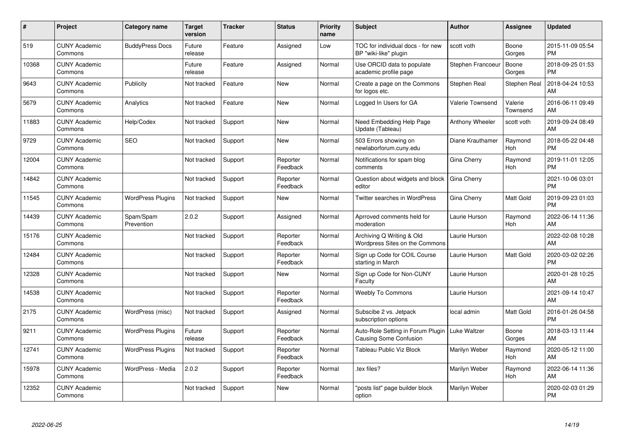| #     | Project                         | <b>Category name</b>     | Target<br>version | <b>Tracker</b> | <b>Status</b>        | <b>Priority</b><br>name | <b>Subject</b>                                                     | <b>Author</b>           | <b>Assignee</b>       | <b>Updated</b>                |
|-------|---------------------------------|--------------------------|-------------------|----------------|----------------------|-------------------------|--------------------------------------------------------------------|-------------------------|-----------------------|-------------------------------|
| 519   | <b>CUNY Academic</b><br>Commons | <b>BuddyPress Docs</b>   | Future<br>release | Feature        | Assigned             | Low                     | TOC for individual docs - for new<br>BP "wiki-like" plugin         | scott voth              | Boone<br>Gorges       | 2015-11-09 05:54<br><b>PM</b> |
| 10368 | <b>CUNY Academic</b><br>Commons |                          | Future<br>release | Feature        | Assigned             | Normal                  | Use ORCID data to populate<br>academic profile page                | Stephen Francoeur       | Boone<br>Gorges       | 2018-09-25 01:53<br><b>PM</b> |
| 9643  | <b>CUNY Academic</b><br>Commons | Publicity                | Not tracked       | Feature        | New                  | Normal                  | Create a page on the Commons<br>for logos etc.                     | Stephen Real            | Stephen Real          | 2018-04-24 10:53<br>AM        |
| 5679  | <b>CUNY Academic</b><br>Commons | Analytics                | Not tracked       | Feature        | <b>New</b>           | Normal                  | Logged In Users for GA                                             | <b>Valerie Townsend</b> | Valerie<br>Townsend   | 2016-06-11 09:49<br>AM        |
| 11883 | <b>CUNY Academic</b><br>Commons | Help/Codex               | Not tracked       | Support        | <b>New</b>           | Normal                  | Need Embedding Help Page<br>Update (Tableau)                       | Anthony Wheeler         | scott voth            | 2019-09-24 08:49<br>AM        |
| 9729  | <b>CUNY Academic</b><br>Commons | <b>SEO</b>               | Not tracked       | Support        | New                  | Normal                  | 503 Errors showing on<br>newlaborforum.cuny.edu                    | Diane Krauthamer        | Raymond<br><b>Hoh</b> | 2018-05-22 04:48<br><b>PM</b> |
| 12004 | <b>CUNY Academic</b><br>Commons |                          | Not tracked       | Support        | Reporter<br>Feedback | Normal                  | Notifications for spam blog<br>comments                            | Gina Cherry             | Raymond<br>Hoh        | 2019-11-01 12:05<br><b>PM</b> |
| 14842 | <b>CUNY Academic</b><br>Commons |                          | Not tracked       | Support        | Reporter<br>Feedback | Normal                  | Question about widgets and block<br>editor                         | Gina Cherry             |                       | 2021-10-06 03:01<br><b>PM</b> |
| 11545 | <b>CUNY Academic</b><br>Commons | <b>WordPress Plugins</b> | Not tracked       | Support        | <b>New</b>           | Normal                  | <b>Twitter searches in WordPress</b>                               | Gina Cherry             | Matt Gold             | 2019-09-23 01:03<br><b>PM</b> |
| 14439 | <b>CUNY Academic</b><br>Commons | Spam/Spam<br>Prevention  | 2.0.2             | Support        | Assigned             | Normal                  | Aprroved comments held for<br>moderation                           | Laurie Hurson           | Raymond<br>Hoh        | 2022-06-14 11:36<br>AM        |
| 15176 | <b>CUNY Academic</b><br>Commons |                          | Not tracked       | Support        | Reporter<br>Feedback | Normal                  | Archiving Q Writing & Old<br><b>Wordpress Sites on the Commons</b> | Laurie Hurson           |                       | 2022-02-08 10:28<br>AM        |
| 12484 | <b>CUNY Academic</b><br>Commons |                          | Not tracked       | Support        | Reporter<br>Feedback | Normal                  | Sign up Code for COIL Course<br>starting in March                  | Laurie Hurson           | Matt Gold             | 2020-03-02 02:26<br><b>PM</b> |
| 12328 | <b>CUNY Academic</b><br>Commons |                          | Not tracked       | Support        | <b>New</b>           | Normal                  | Sign up Code for Non-CUNY<br>Faculty                               | Laurie Hurson           |                       | 2020-01-28 10:25<br>AM        |
| 14538 | <b>CUNY Academic</b><br>Commons |                          | Not tracked       | Support        | Reporter<br>Feedback | Normal                  | <b>Weebly To Commons</b>                                           | Laurie Hurson           |                       | 2021-09-14 10:47<br>AM        |
| 2175  | <b>CUNY Academic</b><br>Commons | WordPress (misc)         | Not tracked       | Support        | Assigned             | Normal                  | Subscibe 2 vs. Jetpack<br>subscription options                     | local admin             | Matt Gold             | 2016-01-26 04:58<br><b>PM</b> |
| 9211  | <b>CUNY Academic</b><br>Commons | <b>WordPress Plugins</b> | Future<br>release | Support        | Reporter<br>Feedback | Normal                  | Auto-Role Setting in Forum Plugin<br>Causing Some Confusion        | Luke Waltzer            | Boone<br>Gorges       | 2018-03-13 11:44<br>AM        |
| 12741 | <b>CUNY Academic</b><br>Commons | <b>WordPress Plugins</b> | Not tracked       | Support        | Reporter<br>Feedback | Normal                  | Tableau Public Viz Block                                           | Marilyn Weber           | Raymond<br><b>Hoh</b> | 2020-05-12 11:00<br>AM        |
| 15978 | <b>CUNY Academic</b><br>Commons | WordPress - Media        | 2.0.2             | Support        | Reporter<br>Feedback | Normal                  | .tex files?                                                        | Marilyn Weber           | Raymond<br>Hoh        | 2022-06-14 11:36<br>AM        |
| 12352 | <b>CUNY Academic</b><br>Commons |                          | Not tracked       | Support        | <b>New</b>           | Normal                  | 'posts list" page builder block<br>option                          | Marilyn Weber           |                       | 2020-02-03 01:29<br>PM        |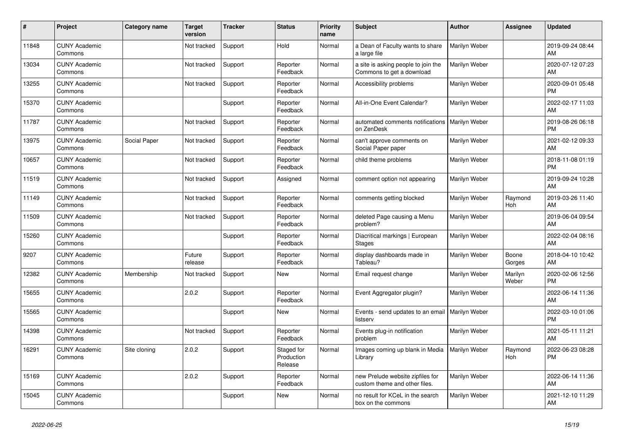| #     | Project                         | <b>Category name</b> | <b>Target</b><br>version | <b>Tracker</b> | <b>Status</b>                       | <b>Priority</b><br>name | <b>Subject</b>                                                    | <b>Author</b> | Assignee              | <b>Updated</b>                |
|-------|---------------------------------|----------------------|--------------------------|----------------|-------------------------------------|-------------------------|-------------------------------------------------------------------|---------------|-----------------------|-------------------------------|
| 11848 | <b>CUNY Academic</b><br>Commons |                      | Not tracked              | Support        | Hold                                | Normal                  | a Dean of Faculty wants to share<br>a large file                  | Marilyn Weber |                       | 2019-09-24 08:44<br>AM        |
| 13034 | <b>CUNY Academic</b><br>Commons |                      | Not tracked              | Support        | Reporter<br>Feedback                | Normal                  | a site is asking people to join the<br>Commons to get a download  | Marilyn Weber |                       | 2020-07-12 07:23<br>AM        |
| 13255 | <b>CUNY Academic</b><br>Commons |                      | Not tracked              | Support        | Reporter<br>Feedback                | Normal                  | Accessibility problems                                            | Marilyn Weber |                       | 2020-09-01 05:48<br><b>PM</b> |
| 15370 | <b>CUNY Academic</b><br>Commons |                      |                          | Support        | Reporter<br>Feedback                | Normal                  | All-in-One Event Calendar?                                        | Marilyn Weber |                       | 2022-02-17 11:03<br>AM        |
| 11787 | <b>CUNY Academic</b><br>Commons |                      | Not tracked              | Support        | Reporter<br>Feedback                | Normal                  | automated comments notifications   Marilyn Weber<br>on ZenDesk    |               |                       | 2019-08-26 06:18<br><b>PM</b> |
| 13975 | <b>CUNY Academic</b><br>Commons | Social Paper         | Not tracked              | Support        | Reporter<br>Feedback                | Normal                  | can't approve comments on<br>Social Paper paper                   | Marilyn Weber |                       | 2021-02-12 09:33<br>AM        |
| 10657 | <b>CUNY Academic</b><br>Commons |                      | Not tracked              | Support        | Reporter<br>Feedback                | Normal                  | child theme problems                                              | Marilyn Weber |                       | 2018-11-08 01:19<br><b>PM</b> |
| 11519 | <b>CUNY Academic</b><br>Commons |                      | Not tracked              | Support        | Assigned                            | Normal                  | comment option not appearing                                      | Marilyn Weber |                       | 2019-09-24 10:28<br>AM        |
| 11149 | <b>CUNY Academic</b><br>Commons |                      | Not tracked              | Support        | Reporter<br>Feedback                | Normal                  | comments getting blocked                                          | Marilyn Weber | Raymond<br>Hoh        | 2019-03-26 11:40<br>AM        |
| 11509 | <b>CUNY Academic</b><br>Commons |                      | Not tracked              | Support        | Reporter<br>Feedback                | Normal                  | deleted Page causing a Menu<br>problem?                           | Marilyn Weber |                       | 2019-06-04 09:54<br>AM        |
| 15260 | <b>CUNY Academic</b><br>Commons |                      |                          | Support        | Reporter<br>Feedback                | Normal                  | Diacritical markings   European<br><b>Stages</b>                  | Marilyn Weber |                       | 2022-02-04 08:16<br>AM        |
| 9207  | <b>CUNY Academic</b><br>Commons |                      | Future<br>release        | Support        | Reporter<br>Feedback                | Normal                  | display dashboards made in<br>Tableau?                            | Marilyn Weber | Boone<br>Gorges       | 2018-04-10 10:42<br>AM        |
| 12382 | <b>CUNY Academic</b><br>Commons | Membership           | Not tracked              | Support        | <b>New</b>                          | Normal                  | Email request change                                              | Marilyn Weber | Marilyn<br>Weber      | 2020-02-06 12:56<br><b>PM</b> |
| 15655 | <b>CUNY Academic</b><br>Commons |                      | 2.0.2                    | Support        | Reporter<br>Feedback                | Normal                  | Event Aggregator plugin?                                          | Marilyn Weber |                       | 2022-06-14 11:36<br>AM        |
| 15565 | <b>CUNY Academic</b><br>Commons |                      |                          | Support        | New                                 | Normal                  | Events - send updates to an email<br>listserv                     | Marilyn Weber |                       | 2022-03-10 01:06<br><b>PM</b> |
| 14398 | <b>CUNY Academic</b><br>Commons |                      | Not tracked              | Support        | Reporter<br>Feedback                | Normal                  | Events plug-in notification<br>problem                            | Marilyn Weber |                       | 2021-05-11 11:21<br>AM        |
| 16291 | <b>CUNY Academic</b><br>Commons | Site cloning         | 2.0.2                    | Support        | Staged for<br>Production<br>Release | Normal                  | Images coming up blank in Media<br>Library                        | Marilyn Weber | Raymond<br><b>Hoh</b> | 2022-06-23 08:28<br>PM        |
| 15169 | <b>CUNY Academic</b><br>Commons |                      | 2.0.2                    | Support        | Reporter<br>Feedback                | Normal                  | new Prelude website zipfiles for<br>custom theme and other files. | Marilyn Weber |                       | 2022-06-14 11:36<br>AM        |
| 15045 | <b>CUNY Academic</b><br>Commons |                      |                          | Support        | <b>New</b>                          | Normal                  | no result for KCeL in the search<br>box on the commons            | Marilyn Weber |                       | 2021-12-10 11:29<br>AM        |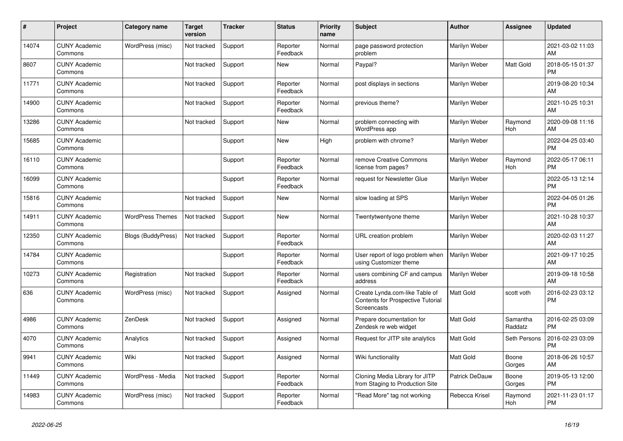| #     | Project                         | <b>Category name</b>      | Target<br>version | <b>Tracker</b> | <b>Status</b>        | <b>Priority</b><br>name | <b>Subject</b>                                                                     | <b>Author</b>    | <b>Assignee</b>     | <b>Updated</b>                |
|-------|---------------------------------|---------------------------|-------------------|----------------|----------------------|-------------------------|------------------------------------------------------------------------------------|------------------|---------------------|-------------------------------|
| 14074 | <b>CUNY Academic</b><br>Commons | WordPress (misc)          | Not tracked       | Support        | Reporter<br>Feedback | Normal                  | page password protection<br>problem                                                | Marilyn Weber    |                     | 2021-03-02 11:03<br>AM        |
| 8607  | <b>CUNY Academic</b><br>Commons |                           | Not tracked       | Support        | New                  | Normal                  | Paypal?                                                                            | Marilyn Weber    | Matt Gold           | 2018-05-15 01:37<br><b>PM</b> |
| 11771 | <b>CUNY Academic</b><br>Commons |                           | Not tracked       | Support        | Reporter<br>Feedback | Normal                  | post displays in sections                                                          | Marilyn Weber    |                     | 2019-08-20 10:34<br>AM        |
| 14900 | <b>CUNY Academic</b><br>Commons |                           | Not tracked       | Support        | Reporter<br>Feedback | Normal                  | previous theme?                                                                    | Marilyn Weber    |                     | 2021-10-25 10:31<br>AM        |
| 13286 | <b>CUNY Academic</b><br>Commons |                           | Not tracked       | Support        | New                  | Normal                  | problem connecting with<br><b>WordPress app</b>                                    | Marilyn Weber    | Raymond<br>Hoh      | 2020-09-08 11:16<br>AM        |
| 15685 | <b>CUNY Academic</b><br>Commons |                           |                   | Support        | <b>New</b>           | High                    | problem with chrome?                                                               | Marilyn Weber    |                     | 2022-04-25 03:40<br><b>PM</b> |
| 16110 | <b>CUNY Academic</b><br>Commons |                           |                   | Support        | Reporter<br>Feedback | Normal                  | remove Creative Commons<br>license from pages?                                     | Marilyn Weber    | Raymond<br>Hoh      | 2022-05-17 06:11<br><b>PM</b> |
| 16099 | <b>CUNY Academic</b><br>Commons |                           |                   | Support        | Reporter<br>Feedback | Normal                  | request for Newsletter Glue                                                        | Marilyn Weber    |                     | 2022-05-13 12:14<br><b>PM</b> |
| 15816 | <b>CUNY Academic</b><br>Commons |                           | Not tracked       | Support        | <b>New</b>           | Normal                  | slow loading at SPS                                                                | Marilyn Weber    |                     | 2022-04-05 01:26<br><b>PM</b> |
| 14911 | <b>CUNY Academic</b><br>Commons | <b>WordPress Themes</b>   | Not tracked       | Support        | <b>New</b>           | Normal                  | Twentytwentyone theme                                                              | Marilyn Weber    |                     | 2021-10-28 10:37<br>AM        |
| 12350 | <b>CUNY Academic</b><br>Commons | <b>Blogs (BuddyPress)</b> | Not tracked       | Support        | Reporter<br>Feedback | Normal                  | URL creation problem                                                               | Marilyn Weber    |                     | 2020-02-03 11:27<br>AM        |
| 14784 | <b>CUNY Academic</b><br>Commons |                           |                   | Support        | Reporter<br>Feedback | Normal                  | User report of logo problem when<br>using Customizer theme                         | Marilyn Weber    |                     | 2021-09-17 10:25<br>AM        |
| 10273 | <b>CUNY Academic</b><br>Commons | Registration              | Not tracked       | Support        | Reporter<br>Feedback | Normal                  | users combining CF and campus<br>address                                           | Marilyn Weber    |                     | 2019-09-18 10:58<br>AM        |
| 636   | <b>CUNY Academic</b><br>Commons | WordPress (misc)          | Not tracked       | Support        | Assigned             | Normal                  | Create Lynda.com-like Table of<br>Contents for Prospective Tutorial<br>Screencasts | <b>Matt Gold</b> | scott voth          | 2016-02-23 03:12<br><b>PM</b> |
| 4986  | <b>CUNY Academic</b><br>Commons | ZenDesk                   | Not tracked       | Support        | Assigned             | Normal                  | Prepare documentation for<br>Zendesk re web widget                                 | <b>Matt Gold</b> | Samantha<br>Raddatz | 2016-02-25 03:09<br><b>PM</b> |
| 4070  | <b>CUNY Academic</b><br>Commons | Analytics                 | Not tracked       | Support        | Assigned             | Normal                  | Request for JITP site analytics                                                    | Matt Gold        | Seth Persons        | 2016-02-23 03:09<br><b>PM</b> |
| 9941  | <b>CUNY Academic</b><br>Commons | Wiki                      | Not tracked       | Support        | Assigned             | Normal                  | Wiki functionality                                                                 | Matt Gold        | Boone<br>Gorges     | 2018-06-26 10:57<br>AM        |
| 11449 | <b>CUNY Academic</b><br>Commons | WordPress - Media         | Not tracked       | Support        | Reporter<br>Feedback | Normal                  | Cloning Media Library for JITP<br>from Staging to Production Site                  | Patrick DeDauw   | Boone<br>Gorges     | 2019-05-13 12:00<br><b>PM</b> |
| 14983 | <b>CUNY Academic</b><br>Commons | WordPress (misc)          | Not tracked       | Support        | Reporter<br>Feedback | Normal                  | "Read More" tag not working                                                        | Rebecca Krisel   | Raymond<br>Hoh      | 2021-11-23 01:17<br><b>PM</b> |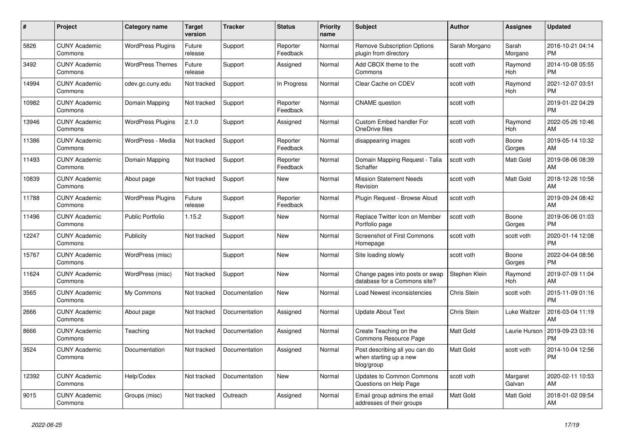| $\pmb{\#}$ | <b>Project</b>                  | Category name            | Target<br>version | <b>Tracker</b> | <b>Status</b>        | <b>Priority</b><br>name | <b>Subject</b>                                                         | <b>Author</b>    | Assignee              | <b>Updated</b>                |
|------------|---------------------------------|--------------------------|-------------------|----------------|----------------------|-------------------------|------------------------------------------------------------------------|------------------|-----------------------|-------------------------------|
| 5826       | <b>CUNY Academic</b><br>Commons | <b>WordPress Plugins</b> | Future<br>release | Support        | Reporter<br>Feedback | Normal                  | <b>Remove Subscription Options</b><br>plugin from directory            | Sarah Morgano    | Sarah<br>Morgano      | 2016-10-21 04:14<br><b>PM</b> |
| 3492       | <b>CUNY Academic</b><br>Commons | <b>WordPress Themes</b>  | Future<br>release | Support        | Assigned             | Normal                  | Add CBOX theme to the<br>Commons                                       | scott voth       | Raymond<br>Hoh        | 2014-10-08 05:55<br><b>PM</b> |
| 14994      | <b>CUNY Academic</b><br>Commons | cdev.gc.cuny.edu         | Not tracked       | Support        | In Progress          | Normal                  | Clear Cache on CDEV                                                    | scott voth       | Raymond<br>Hoh        | 2021-12-07 03:51<br>PM        |
| 10982      | <b>CUNY Academic</b><br>Commons | Domain Mapping           | Not tracked       | Support        | Reporter<br>Feedback | Normal                  | <b>CNAME</b> question                                                  | scott voth       |                       | 2019-01-22 04:29<br><b>PM</b> |
| 13946      | <b>CUNY Academic</b><br>Commons | <b>WordPress Plugins</b> | 2.1.0             | Support        | Assigned             | Normal                  | <b>Custom Embed handler For</b><br>OneDrive files                      | scott voth       | Raymond<br>Hoh        | 2022-05-26 10:46<br>AM        |
| 11386      | <b>CUNY Academic</b><br>Commons | WordPress - Media        | Not tracked       | Support        | Reporter<br>Feedback | Normal                  | disappearing images                                                    | scott voth       | Boone<br>Gorges       | 2019-05-14 10:32<br>AM        |
| 11493      | <b>CUNY Academic</b><br>Commons | Domain Mapping           | Not tracked       | Support        | Reporter<br>Feedback | Normal                  | Domain Mapping Request - Talia<br>Schaffer                             | scott voth       | Matt Gold             | 2019-08-06 08:39<br>AM        |
| 10839      | <b>CUNY Academic</b><br>Commons | About page               | Not tracked       | Support        | <b>New</b>           | Normal                  | <b>Mission Statement Needs</b><br>Revision                             | scott voth       | <b>Matt Gold</b>      | 2018-12-26 10:58<br>AM        |
| 11788      | <b>CUNY Academic</b><br>Commons | <b>WordPress Plugins</b> | Future<br>release | Support        | Reporter<br>Feedback | Normal                  | Plugin Request - Browse Aloud                                          | scott voth       |                       | 2019-09-24 08:42<br>AM        |
| 11496      | <b>CUNY Academic</b><br>Commons | <b>Public Portfolio</b>  | 1.15.2            | Support        | New                  | Normal                  | Replace Twitter Icon on Member<br>Portfolio page                       | scott voth       | Boone<br>Gorges       | 2019-06-06 01:03<br><b>PM</b> |
| 12247      | <b>CUNY Academic</b><br>Commons | Publicity                | Not tracked       | Support        | <b>New</b>           | Normal                  | Screenshot of First Commons<br>Homepage                                | scott voth       | scott voth            | 2020-01-14 12:08<br>PM        |
| 15767      | <b>CUNY Academic</b><br>Commons | WordPress (misc)         |                   | Support        | New                  | Normal                  | Site loading slowly                                                    | scott voth       | Boone<br>Gorges       | 2022-04-04 08:56<br><b>PM</b> |
| 11624      | <b>CUNY Academic</b><br>Commons | WordPress (misc)         | Not tracked       | Support        | <b>New</b>           | Normal                  | Change pages into posts or swap<br>database for a Commons site?        | Stephen Klein    | Raymond<br><b>Hoh</b> | 2019-07-09 11:04<br>AM        |
| 3565       | <b>CUNY Academic</b><br>Commons | My Commons               | Not tracked       | Documentation  | <b>New</b>           | Normal                  | Load Newest inconsistencies                                            | Chris Stein      | scott voth            | 2015-11-09 01:16<br><b>PM</b> |
| 2666       | <b>CUNY Academic</b><br>Commons | About page               | Not tracked       | Documentation  | Assigned             | Normal                  | <b>Update About Text</b>                                               | Chris Stein      | Luke Waltzer          | 2016-03-04 11:19<br>AM        |
| 8666       | <b>CUNY Academic</b><br>Commons | Teaching                 | Not tracked       | Documentation  | Assigned             | Normal                  | Create Teaching on the<br>Commons Resource Page                        | <b>Matt Gold</b> | Laurie Hurson         | 2019-09-23 03:16<br>PM        |
| 3524       | <b>CUNY Academic</b><br>Commons | Documentation            | Not tracked       | Documentation  | Assigned             | Normal                  | Post describing all you can do<br>when starting up a new<br>blog/group | Matt Gold        | scott voth            | 2014-10-04 12:56<br><b>PM</b> |
| 12392      | <b>CUNY Academic</b><br>Commons | Help/Codex               | Not tracked       | Documentation  | New                  | Normal                  | <b>Updates to Common Commons</b><br>Questions on Help Page             | scott voth       | Margaret<br>Galvan    | 2020-02-11 10:53<br>AM        |
| 9015       | <b>CUNY Academic</b><br>Commons | Groups (misc)            | Not tracked       | Outreach       | Assigned             | Normal                  | Email group admins the email<br>addresses of their groups              | Matt Gold        | Matt Gold             | 2018-01-02 09:54<br>AM        |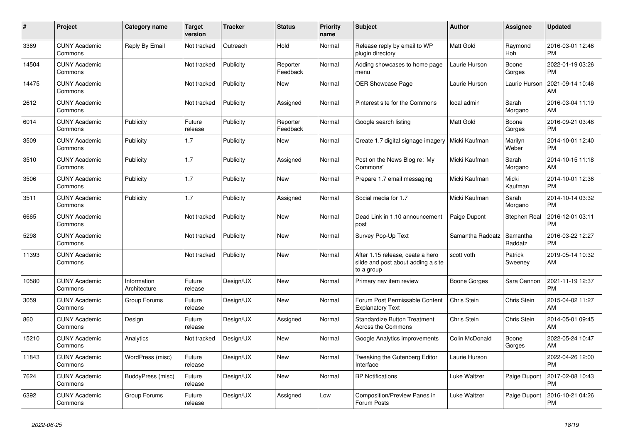| #     | <b>Project</b>                  | <b>Category name</b>        | <b>Target</b><br>version | Tracker   | <b>Status</b>        | <b>Priority</b><br>name | <b>Subject</b>                                                                       | <b>Author</b>    | Assignee            | <b>Updated</b>                |
|-------|---------------------------------|-----------------------------|--------------------------|-----------|----------------------|-------------------------|--------------------------------------------------------------------------------------|------------------|---------------------|-------------------------------|
| 3369  | <b>CUNY Academic</b><br>Commons | Reply By Email              | Not tracked              | Outreach  | Hold                 | Normal                  | Release reply by email to WP<br>plugin directory                                     | <b>Matt Gold</b> | Raymond<br>Hoh      | 2016-03-01 12:46<br><b>PM</b> |
| 14504 | <b>CUNY Academic</b><br>Commons |                             | Not tracked              | Publicity | Reporter<br>Feedback | Normal                  | Adding showcases to home page<br>menu                                                | Laurie Hurson    | Boone<br>Gorges     | 2022-01-19 03:26<br><b>PM</b> |
| 14475 | <b>CUNY Academic</b><br>Commons |                             | Not tracked              | Publicity | New                  | Normal                  | <b>OER Showcase Page</b>                                                             | Laurie Hurson    | Laurie Hurson       | 2021-09-14 10:46<br>AM        |
| 2612  | <b>CUNY Academic</b><br>Commons |                             | Not tracked              | Publicity | Assigned             | Normal                  | Pinterest site for the Commons                                                       | local admin      | Sarah<br>Morgano    | 2016-03-04 11:19<br>AM        |
| 6014  | <b>CUNY Academic</b><br>Commons | Publicity                   | Future<br>release        | Publicity | Reporter<br>Feedback | Normal                  | Google search listing                                                                | <b>Matt Gold</b> | Boone<br>Gorges     | 2016-09-21 03:48<br><b>PM</b> |
| 3509  | <b>CUNY Academic</b><br>Commons | Publicity                   | 1.7                      | Publicity | <b>New</b>           | Normal                  | Create 1.7 digital signage imagery                                                   | Micki Kaufman    | Marilyn<br>Weber    | 2014-10-01 12:40<br><b>PM</b> |
| 3510  | <b>CUNY Academic</b><br>Commons | Publicity                   | 1.7                      | Publicity | Assigned             | Normal                  | Post on the News Blog re: 'My<br>Commons'                                            | Micki Kaufman    | Sarah<br>Morgano    | 2014-10-15 11:18<br>AM        |
| 3506  | <b>CUNY Academic</b><br>Commons | Publicity                   | 1.7                      | Publicity | <b>New</b>           | Normal                  | Prepare 1.7 email messaging                                                          | Micki Kaufman    | Micki<br>Kaufman    | 2014-10-01 12:36<br><b>PM</b> |
| 3511  | <b>CUNY Academic</b><br>Commons | Publicity                   | 1.7                      | Publicity | Assigned             | Normal                  | Social media for 1.7                                                                 | Micki Kaufman    | Sarah<br>Morgano    | 2014-10-14 03:32<br><b>PM</b> |
| 6665  | <b>CUNY Academic</b><br>Commons |                             | Not tracked              | Publicity | <b>New</b>           | Normal                  | Dead Link in 1.10 announcement<br>post                                               | Paige Dupont     | <b>Stephen Real</b> | 2016-12-01 03:11<br><b>PM</b> |
| 5298  | <b>CUNY Academic</b><br>Commons |                             | Not tracked              | Publicity | <b>New</b>           | Normal                  | Survey Pop-Up Text                                                                   | Samantha Raddatz | Samantha<br>Raddatz | 2016-03-22 12:27<br><b>PM</b> |
| 11393 | <b>CUNY Academic</b><br>Commons |                             | Not tracked              | Publicity | New                  | Normal                  | After 1.15 release, ceate a hero<br>slide and post about adding a site<br>to a group | scott voth       | Patrick<br>Sweeney  | 2019-05-14 10:32<br>AM        |
| 10580 | <b>CUNY Academic</b><br>Commons | Information<br>Architecture | Future<br>release        | Design/UX | <b>New</b>           | Normal                  | Primary nav item review                                                              | Boone Gorges     | Sara Cannon         | 2021-11-19 12:37<br><b>PM</b> |
| 3059  | <b>CUNY Academic</b><br>Commons | Group Forums                | Future<br>release        | Design/UX | New                  | Normal                  | Forum Post Permissable Content<br><b>Explanatory Text</b>                            | Chris Stein      | Chris Stein         | 2015-04-02 11:27<br>AM        |
| 860   | <b>CUNY Academic</b><br>Commons | Design                      | Future<br>release        | Design/UX | Assigned             | Normal                  | <b>Standardize Button Treatment</b><br>Across the Commons                            | Chris Stein      | Chris Stein         | 2014-05-01 09:45<br>AM        |
| 15210 | <b>CUNY Academic</b><br>Commons | Analytics                   | Not tracked              | Design/UX | <b>New</b>           | Normal                  | Google Analytics improvements                                                        | Colin McDonald   | Boone<br>Gorges     | 2022-05-24 10:47<br>AM        |
| 11843 | <b>CUNY Academic</b><br>Commons | WordPress (misc)            | Future<br>release        | Design/UX | <b>New</b>           | Normal                  | Tweaking the Gutenberg Editor<br>Interface                                           | Laurie Hurson    |                     | 2022-04-26 12:00<br><b>PM</b> |
| 7624  | <b>CUNY Academic</b><br>Commons | BuddyPress (misc)           | Future<br>release        | Design/UX | <b>New</b>           | Normal                  | <b>BP</b> Notifications                                                              | Luke Waltzer     | Paige Dupont        | 2017-02-08 10:43<br><b>PM</b> |
| 6392  | <b>CUNY Academic</b><br>Commons | Group Forums                | Future<br>release        | Design/UX | Assigned             | Low                     | <b>Composition/Preview Panes in</b><br>Forum Posts                                   | Luke Waltzer     | Paige Dupont        | 2016-10-21 04:26<br><b>PM</b> |